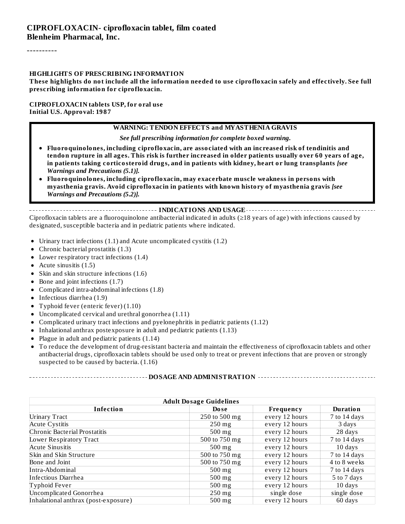----------

#### **HIGHLIGHTS OF PRESCRIBING INFORMATION**

These highlights do not include all the information needed to use ciprofloxacin safely and effectively. See full **prescribing information for ciprofloxacin.**

#### **CIPROFLOXACIN tablets USP, for oral use Initial U.S. Approval: 1987**

#### **WARNING: TENDON EFFECTS and MYASTHENIA GRAVIS**

*See full prescribing information for complete boxed warning.*

- **Fluoroquinolones, including ciprofloxacin, are associated with an increased risk of tendinitis and** tendon rupture in all ages. This risk is further increased in older patients usually over 60 years of age, **in patients taking corticosteroid drugs, and in patients with kidney, heart or lung transplants** *[see Warnings and Precautions (5.1)].*
- **Fluoroquinolones, including ciprofloxacin, may exacerbate muscle weakness in persons with myasthenia gravis. Avoid ciprofloxacin in patients with known history of myasthenia gravis** *[see Warnings and Precautions (5.2)].*

**INDICATIONS AND USAGE** Ciprofloxacin tablets are a fluoroquinolone antibacterial indicated in adults ( $\geq$ 18 years of age) with infections caused by designated, susceptible bacteria and in pediatric patients where indicated.

- $\bullet$ Urinary tract infections (1.1) and Acute uncomplicated cystitis (1.2)
- Chronic bacterial prostatitis (1.3)
- Lower respiratory tract infections  $(1.4)$
- Acute sinusitis  $(1.5)$
- Skin and skin structure infections (1.6)
- $\bullet$  Bone and joint infections (1.7)
- Complicated intra-abdominal infections (1.8)
- Infectious diarrhea (1.9)

-------------------------

- Typhoid fever (enteric fever) (1.10)
- Uncomplicated cervical and urethral gonorrhea (1.11)  $\bullet$
- Complicated urinary tract infections and pyelonephritis in pediatric patients (1.12)  $\bullet$
- Inhalational anthrax postexposure in adult and pediatric patients (1.13)
- Plague in adult and pediatric patients (1.14)  $\bullet$
- To reduce the development of drug-resistant bacteria and maintain the effectiveness of ciprofloxacin tablets and other  $\bullet$ antibacterial drugs, ciprofloxacin tablets should be used only to treat or prevent infections that are proven or strongly suspected to be caused by bacteria. (1.16)

| <b>Adult Dosage Guidelines</b>       |                  |                |                 |  |  |
|--------------------------------------|------------------|----------------|-----------------|--|--|
| <b>Infection</b>                     | Dose             | Frequency      | <b>Duration</b> |  |  |
| <b>Urinary Tract</b>                 | 250 to 500 mg    | every 12 hours | 7 to 14 days    |  |  |
| <b>Acute Cystitis</b>                | $250$ mg         | every 12 hours | 3 days          |  |  |
| Chronic Bacterial Prostatitis        | $500$ mg         | every 12 hours | 28 days         |  |  |
| Lower Respiratory Tract              | 500 to 750 mg    | every 12 hours | 7 to 14 days    |  |  |
| <b>Acute Sinusitis</b>               | $500$ mg         | every 12 hours | 10 days         |  |  |
| Skin and Skin Structure              | 500 to 750 mg    | every 12 hours | 7 to 14 days    |  |  |
| Bone and Joint                       | 500 to 750 mg    | every 12 hours | 4 to 8 weeks    |  |  |
| Intra-Abdominal                      | $500$ mg         | every 12 hours | 7 to 14 days    |  |  |
| Infectious Diarrhea                  | $500$ mg         | every 12 hours | 5 to 7 days     |  |  |
| Typhoid Fever                        | $500$ mg         | every 12 hours | 10 days         |  |  |
| Uncomplicated Gonorrhea              | $250 \text{ mg}$ | single dose    | single dose     |  |  |
| Inhalational anthrax (post-exposure) | 500 mg           | every 12 hours | 60 days         |  |  |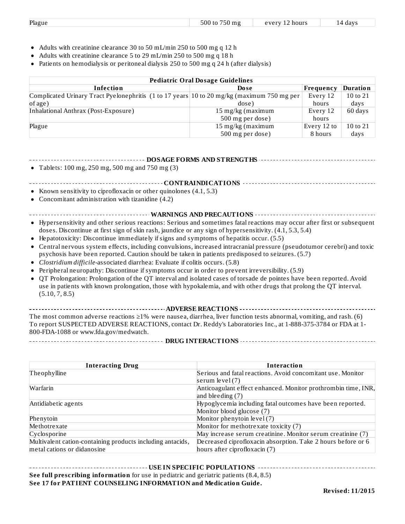|  | Plague | $- - -$<br>n <sub>0</sub><br>วเมเ<br>эu<br>1 O J | $'$ $\cap$ $H$ $T$ :<br>hours<br>$\mathbf{v}$ | dav<br>$\Delta$<br>הו |
|--|--------|--------------------------------------------------|-----------------------------------------------|-----------------------|
|--|--------|--------------------------------------------------|-----------------------------------------------|-----------------------|

- Adults with creatinine clearance 30 to 50 mL/min 250 to 500 mg q 12 h
- Adults with creatinine clearance 5 to 29 mL/min 250 to 500 mg q 18 h
- Patients on hemodialysis or peritoneal dialysis 250 to 500 mg q 24 h (after dialysis)

| <b>Pediatric Oral Dosage Guidelines</b>                                                    |                   |             |                 |  |
|--------------------------------------------------------------------------------------------|-------------------|-------------|-----------------|--|
| Infection                                                                                  | Dose              | Frequency   | <b>Duration</b> |  |
| Complicated Urinary Tract Pyelonephritis (1 to 17 years 10 to 20 mg/kg (maximum 750 mg per |                   | Every 12    | 10 to 21        |  |
| of age)                                                                                    | dose)             | hours       | days            |  |
| Inhalational Anthrax (Post-Exposure)                                                       | 15 mg/kg (maximum | Every 12    | 60 days         |  |
|                                                                                            | 500 mg per dose)  | hours       |                 |  |
| Plague                                                                                     | 15 mg/kg (maximum | Every 12 to | $10$ to $21$    |  |
|                                                                                            | 500 mg per dose)  | 8 hours     | days            |  |

#### **DOSAGE FORMS AND STRENGTHS**

Tablets: 100 mg, 250 mg, 500 mg and 750 mg (3)

**CONTRAINDICATIONS**

- Known sensitivity to ciprofloxacin or other quinolones (4.1, 5.3)  $\bullet$
- Concomitant administration with tizanidine (4.2)  $\bullet$
- **WARNINGS AND PRECAUTIONS**
- Hypersensitivity and other serious reactions: Serious and sometimes fatal reactions may occur after first or subsequent doses. Discontinue at first sign of skin rash, jaundice or any sign of hypersensitivity. (4.1, 5.3, 5.4)
- Hepatotoxicity: Discontinue immediately if signs and symptoms of hepatitis occur. (5.5)
- Central nervous system effects, including convulsions, increased intracranial pressure (pseudotumor cerebri) and toxic psychosis have been reported. Caution should be taken in patients predisposed to seizures. (5.7)
- *Clostridium difficile*-associated diarrhea: Evaluate if colitis occurs. (5.8)  $\bullet$
- Peripheral neuropathy: Discontinue if symptoms occur in order to prevent irreversibility. (5.9)  $\bullet$
- QT Prolongation: Prolongation of the QT interval and isolated cases of torsade de pointes have been reported. Avoid use in patients with known prolongation, those with hypokalemia, and with other drugs that prolong the QT interval. (5.10, 7, 8.5)

**ADVERSE REACTIONS** The most common adverse reactions ≥1% were nausea, diarrhea, liver function tests abnormal, vomiting, and rash. (6) To report SUSPECTED ADVERSE REACTIONS, contact Dr. Reddy's Laboratories Inc., at 1-888-375-3784 or FDA at 1- 800-FDA-1088 or www.fda.gov/medwatch.

**DRUG INTERACTIONS**

| ------------- |  |  |  |  |  |  |
|---------------|--|--|--|--|--|--|

| <b>Interacting Drug</b>                                    | <b>Interaction</b>                                            |
|------------------------------------------------------------|---------------------------------------------------------------|
| Theophylline                                               | Serious and fatal reactions. Avoid concomitant use. Monitor   |
|                                                            | serum level (7)                                               |
| Warfarin                                                   | Anticoagulant effect enhanced. Monitor prothrombin time, INR, |
|                                                            | and bleeding $(7)$                                            |
| Antidiabetic agents                                        | Hypoglycemia including fatal outcomes have been reported.     |
|                                                            | Monitor blood glucose (7)                                     |
| Phenytoin                                                  | Monitor phenytoin level (7)                                   |
| Methotrexate                                               | Monitor for methotrexate toxicity (7)                         |
| Cyclosporine                                               | May increase serum creatinine. Monitor serum creatinine (7)   |
| Multivalent cation-containing products including antacids, | Decreased ciprofloxacin absorption. Take 2 hours before or 6  |
| metal cations or didanosine                                | hours after ciprofloxacin (7)                                 |

**USE IN SPECIFIC POPULATIONS** ------------**See full prescribing information** for use in pediatric and geriatric patients (8.4, 8.5) **See 17 for PATIENT COUNSELING INFORMATION and Medication Guide.**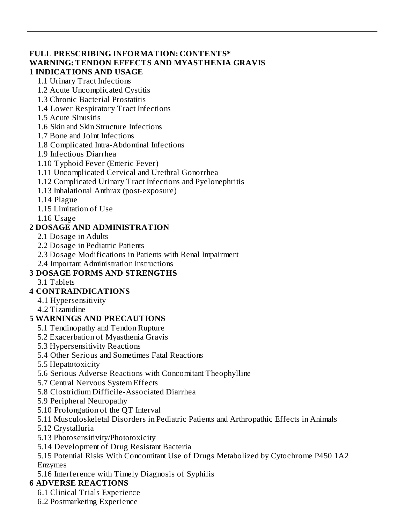#### **FULL PRESCRIBING INFORMATION: CONTENTS\* WARNING: TENDON EFFECTS AND MYASTHENIA GRAVIS 1 INDICATIONS AND USAGE**

### 1.1 Urinary Tract Infections

1.2 Acute Uncomplicated Cystitis

- 1.3 Chronic Bacterial Prostatitis
- 1.4 Lower Respiratory Tract Infections
- 1.5 Acute Sinusitis
- 1.6 Skin and Skin Structure Infections
- 1.7 Bone and Joint Infections
- 1.8 Complicated Intra-Abdominal Infections
- 1.9 Infectious Diarrhea
- 1.10 Typhoid Fever (Enteric Fever)
- 1.11 Uncomplicated Cervical and Urethral Gonorrhea
- 1.12 Complicated Urinary Tract Infections and Pyelonephritis
- 1.13 Inhalational Anthrax (post-exposure)
- 1.14 Plague
- 1.15 Limitation of Use
- 1.16 Usage

### **2 DOSAGE AND ADMINISTRATION**

- 2.1 Dosage in Adults
- 2.2 Dosage in Pediatric Patients
- 2.3 Dosage Modifications in Patients with Renal Impairment
- 2.4 Important Administration Instructions

## **3 DOSAGE FORMS AND STRENGTHS**

3.1 Tablets

### **4 CONTRAINDICATIONS**

- 4.1 Hypersensitivity
- 4.2 Tizanidine

### **5 WARNINGS AND PRECAUTIONS**

- 5.1 Tendinopathy and Tendon Rupture
- 5.2 Exacerbation of Myasthenia Gravis
- 5.3 Hypersensitivity Reactions
- 5.4 Other Serious and Sometimes Fatal Reactions
- 5.5 Hepatotoxicity
- 5.6 Serious Adverse Reactions with Concomitant Theophylline
- 5.7 Central Nervous System Effects
- 5.8 Clostridium Difficile-Associated Diarrhea
- 5.9 Peripheral Neuropathy
- 5.10 Prolongation of the QT Interval
- 5.11 Musculoskeletal Disorders in Pediatric Patients and Arthropathic Effects in Animals
- 5.12 Crystalluria
- 5.13 Photosensitivity/Phototoxicity
- 5.14 Development of Drug Resistant Bacteria
- 5.15 Potential Risks With Concomitant Use of Drugs Metabolized by Cytochrome P450 1A2 Enzymes
- 5.16 Interference with Timely Diagnosis of Syphilis

## **6 ADVERSE REACTIONS**

- 6.1 Clinical Trials Experience
- 6.2 Postmarketing Experience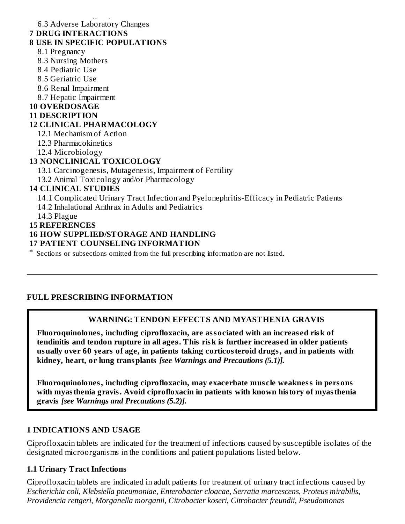6.2 Postmarketing Experience 6.3 Adverse Laboratory Changes

#### **7 DRUG INTERACTIONS**

#### **8 USE IN SPECIFIC POPULATIONS**

- 8.1 Pregnancy
- 8.3 Nursing Mothers
- 8.4 Pediatric Use
- 8.5 Geriatric Use
- 8.6 Renal Impairment
- 8.7 Hepatic Impairment

#### **10 OVERDOSAGE**

#### **11 DESCRIPTION**

### **12 CLINICAL PHARMACOLOGY**

12.1 Mechanism of Action

- 12.3 Pharmacokinetics
- 12.4 Microbiology

#### **13 NONCLINICAL TOXICOLOGY**

13.1 Carcinogenesis, Mutagenesis, Impairment of Fertility

13.2 Animal Toxicology and/or Pharmacology

#### **14 CLINICAL STUDIES**

14.1 Complicated Urinary Tract Infection and Pyelonephritis-Efficacy in Pediatric Patients

14.2 Inhalational Anthrax in Adults and Pediatrics

14.3 Plague

#### **15 REFERENCES**

#### **16 HOW SUPPLIED/STORAGE AND HANDLING**

#### **17 PATIENT COUNSELING INFORMATION**

\* Sections or subsections omitted from the full prescribing information are not listed.

#### **FULL PRESCRIBING INFORMATION**

#### **WARNING: TENDON EFFECTS AND MYASTHENIA GRAVIS**

**Fluoroquinolones, including ciprofloxacin, are associated with an increas ed risk of tendinitis and tendon rupture in all ages. This risk is further increas ed in older patients usually over 60 years of age, in patients taking corticosteroid drugs, and in patients with kidney, heart, or lung transplants** *[see Warnings and Precautions (5.1)].*

**Fluoroquinolones, including ciprofloxacin, may exacerbate mus cle weakness in persons with myasthenia gravis. Avoid ciprofloxacin in patients with known history of myasthenia gravis** *[see Warnings and Precautions (5.2)].*

#### **1 INDICATIONS AND USAGE**

Ciprofloxacin tablets are indicated for the treatment of infections caused by susceptible isolates of the designated microorganisms in the conditions and patient populations listed below*.*

#### **1.1 Urinary Tract Infections**

Ciprofloxacin tablets are indicated in adult patients for treatment of urinary tract infections caused by *Escherichia coli*, *Klebsiella pneumoniae*, *Enterobacter cloacae*, *Serratia marcescens*, *Proteus mirabilis*, *Providencia rettgeri*, *Morganella morganii*, *Citrobacter koseri*, *Citrobacter freundii*, *Pseudomonas*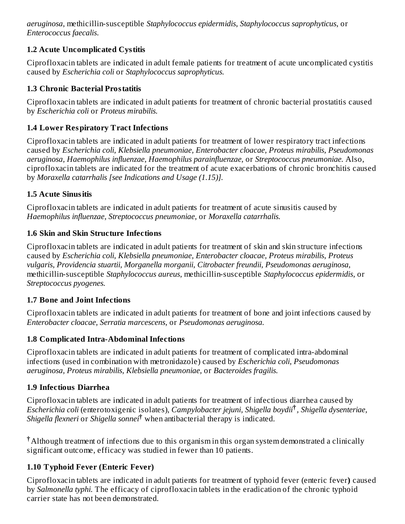*aeruginosa*, methicillin-susceptible *Staphylococcus epidermidis*, *Staphylococcus saprophyticus*, or *Enterococcus faecalis*.

### **1.2 Acute Uncomplicated Cystitis**

Ciprofloxacin tablets are indicated in adult female patients for treatment of acute uncomplicated cystitis caused by *Escherichia coli* or *Staphylococcus saprophyticus.*

### **1.3 Chronic Bacterial Prostatitis**

Ciprofloxacin tablets are indicated in adult patients for treatment of chronic bacterial prostatitis caused by *Escherichia coli* or *Proteus mirabilis.*

### **1.4 Lower Respiratory Tract Infections**

Ciprofloxacin tablets are indicated in adult patients for treatment of lower respiratory tract infections caused by *Escherichia coli, Klebsiella pneumoniae, Enterobacter cloacae, Proteus mirabilis, Pseudomonas aeruginosa, Haemophilus influenzae, Haemophilus parainfluenzae,* or *Streptococcus pneumoniae.* Also, ciprofloxacin tablets are indicated for the treatment of acute exacerbations of chronic bronchitis caused by *Moraxella catarrhalis [see Indications and Usage (1.15)].*

### **1.5 Acute Sinusitis**

Ciprofloxacin tablets are indicated in adult patients for treatment of acute sinusitis caused by *Haemophilus influenzae, Streptococcus pneumoniae,* or *Moraxella catarrhalis.*

### **1.6 Skin and Skin Structure Infections**

Ciprofloxacin tablets are indicated in adult patients for treatment of skin and skin structure infections caused by *Escherichia coli, Klebsiella pneumoniae, Enterobacter cloacae, Proteus mirabilis, Proteus vulgaris, Providencia stuartii, Morganella morganii, Citrobacter freundii, Pseudomonas aeruginosa,* methicillin-susceptible *Staphylococcus aureus,* methicillin-susceptible *Staphylococcus epidermidis,* or *Streptococcus pyogenes.*

## **1.7 Bone and Joint Infections**

Ciprofloxacin tablets are indicated in adult patients for treatment of bone and joint infections caused by *Enterobacter cloacae, Serratia marcescens,* or *Pseudomonas aeruginosa.*

## **1.8 Complicated Intra-Abdominal Infections**

Ciprofloxacin tablets are indicated in adult patients for treatment of complicated intra-abdominal infections (used in combination with metronidazole) caused by *Escherichia coli, Pseudomonas aeruginosa, Proteus mirabilis, Klebsiella pneumoniae,* or *Bacteroides fragilis.*

## **1.9 Infectious Diarrhea**

Ciprofloxacin tablets are indicated in adult patients for treatment of infectious diarrhea caused by *Escherichia coli* (enterotoxigenic isolates), *Campylobacter jejuni, Shigella boydii , Shigella dysenteriae,* **†** Shigella *flexneri* or *Shigella sonnei*<sup>†</sup> when antibacterial therapy is indicated.

Although treatment of infections due to this organism in this organ system demonstrated a clinically **†**significant outcome, efficacy was studied in fewer than 10 patients.

## **1.10 Typhoid Fever (Enteric Fever)**

Ciprofloxacin tablets are indicated in adult patients for treatment of typhoid fever (enteric fever**)** caused by *Salmonella typhi.* The efficacy of ciprofloxacin tablets in the eradication of the chronic typhoid carrier state has not been demonstrated.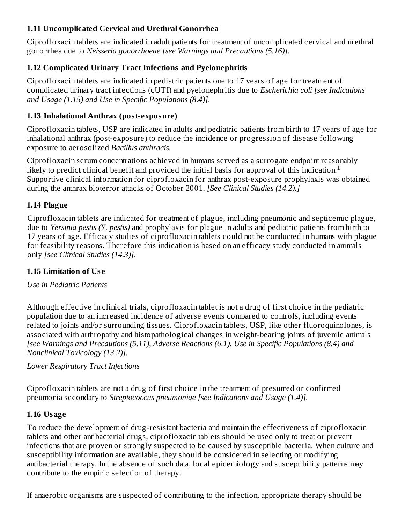### **1.11 Uncomplicated Cervical and Urethral Gonorrhea**

Ciprofloxacin tablets are indicated in adult patients for treatment of uncomplicated cervical and urethral gonorrhea due to *Neisseria gonorrhoeae [see Warnings and Precautions (5.16)].*

### **1.12 Complicated Urinary Tract Infections and Pyelonephritis**

Ciprofloxacin tablets are indicated in pediatric patients one to 17 years of age for treatment of complicated urinary tract infections (cUTI) and pyelonephritis due to *Escherichia coli [see Indications and Usage (1.15) and Use in Specific Populations (8.4)]*.

### **1.13 Inhalational Anthrax (post-exposure)**

Ciprofloxacin tablets, USP are indicated in adults and pediatric patients from birth to 17 years of age for inhalational anthrax (post-exposure) to reduce the incidence or progression of disease following exposure to aerosolized *Bacillus anthracis.*

Ciprofloxacin serum concentrations achieved in humans served as a surrogate endpoint reasonably likely to predict clinical benefit and provided the initial basis for approval of this indication.<sup>1</sup> Supportive clinical information for ciprofloxacin for anthrax post-exposure prophylaxis was obtained during the anthrax bioterror attacks of October 2001. *[See Clinical Studies (14.2).]*

### **1.14 Plague**

Ciprofloxacin tablets are indicated for treatment of plague, including pneumonic and septicemic plague, due to *Yersinia pestis (Y. pestis)* and prophylaxis for plague in adults and pediatric patients from birth to 17 years of age. Efficacy studies of ciprofloxacin tablets could not be conducted in humans with plague for feasibility reasons. Therefore this indication is based on an efficacy study conducted in animals only *[see Clinical Studies (14.3)]*.

### **1.15 Limitation of Us e**

### *Use in Pediatric Patients*

Although effective in clinical trials, ciprofloxacin tablet is not a drug of first choice in the pediatric population due to an increased incidence of adverse events compared to controls, including events related to joints and/or surrounding tissues*.* Ciprofloxacin tablets, USP, like other fluoroquinolones, is associated with arthropathy and histopathological changes in weight-bearing joints of juvenile animals *[see Warnings and Precautions (5.11), Adverse Reactions (6.1), Use in Specific Populations (8.4) and Nonclinical Toxicology (13.2)].*

### *Lower Respiratory Tract Infections*

Ciprofloxacin tablets are not a drug of first choice in the treatment of presumed or confirmed pneumonia secondary to *Streptococcus pneumoniae [see Indications and Usage (1.4)].*

### **1.16 Usage**

To reduce the development of drug-resistant bacteria and maintain the effectiveness of ciprofloxacin tablets and other antibacterial drugs, ciprofloxacin tablets should be used only to treat or prevent infections that are proven or strongly suspected to be caused by susceptible bacteria. When culture and susceptibility information are available, they should be considered in selecting or modifying antibacterial therapy. In the absence of such data, local epidemiology and susceptibility patterns may contribute to the empiric selection of therapy.

If anaerobic organisms are suspected of contributing to the infection, appropriate therapy should be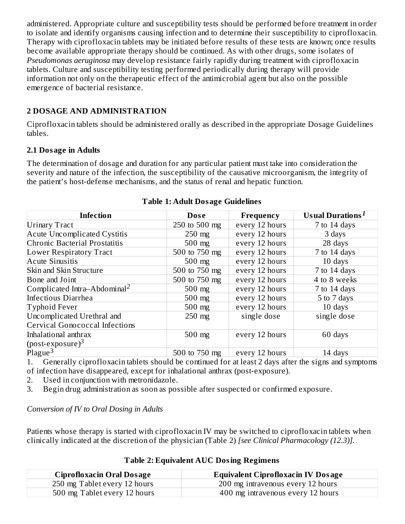administered. Appropriate culture and susceptibility tests should be performed before treatment in order to isolate and identify organisms causing infection and to determine their susceptibility to ciprofloxacin. Therapy with ciprofloxacin tablets may be initiated before results of these tests are known; once results become available appropriate therapy should be continued. As with other drugs, some isolates of *Pseudomonas aeruginosa* may develop resistance fairly rapidly during treatment with ciprofloxacin tablets. Culture and susceptibility testing performed periodically during therapy will provide information not only on the therapeutic effect of the antimicrobial agent but also on the possible emergence of bacterial resistance.

### **2 DOSAGE AND ADMINISTRATION**

Ciprofloxacin tablets should be administered orally as described in the appropriate Dosage Guidelines tables.

### **2.1 Dosage in Adults**

The determination of dosage and duration for any particular patient must take into consideration the severity and nature of the infection, the susceptibility of the causative microorganism, the integrity of the patient's host-defense mechanisms, and the status of renal and hepatic function.

| <b>Infection</b>                         | Dose          | Frequency      | <b>Usual Durations</b> <sup>1</sup> |
|------------------------------------------|---------------|----------------|-------------------------------------|
| <b>Urinary Tract</b>                     | 250 to 500 mg | every 12 hours | 7 to 14 days                        |
|                                          |               |                |                                     |
| <b>Acute Uncomplicated Cystitis</b>      | $250$ mg      | every 12 hours | 3 days                              |
| Chronic Bacterial Prostatitis            | $500$ mg      | every 12 hours | 28 days                             |
| <b>Lower Respiratory Tract</b>           | 500 to 750 mg | every 12 hours | 7 to 14 days                        |
| <b>Acute Sinusitis</b>                   | $500$ mg      | every 12 hours | 10 days                             |
| Skin and Skin Structure                  | 500 to 750 mg | every 12 hours | 7 to 14 days                        |
| Bone and Joint                           | 500 to 750 mg | every 12 hours | 4 to 8 weeks                        |
| Complicated Intra-Abdominal <sup>2</sup> | $500$ mg      | every 12 hours | 7 to 14 days                        |
| Infectious Diarrhea                      | $500$ mg      | every 12 hours | 5 to 7 days                         |
| Typhoid Fever                            | $500$ mg      | every 12 hours | 10 days                             |
| Uncomplicated Urethral and               | $250$ mg      | single dose    | single dose                         |
| <b>Cervical Gonococcal Infections</b>    |               |                |                                     |
| Inhalational anthrax                     | 500 mg        | every 12 hours | 60 days                             |
| (post-exposure) $3$                      |               |                |                                     |
| Plague $\overline{3}$                    | 500 to 750 mg | every 12 hours | 14 days                             |

#### **Table 1: Adult Dosage Guidelines**

1. Generally ciprofloxacin tablets should be continued for at least 2 days after the signs and symptoms of infection have disappeared, except for inhalational anthrax (post-exposure).

- 2. Used in conjunction with metronidazole.
- 3. Begin drug administration as soon as possible after suspected or confirmed exposure.

*Conversion of IV to Oral Dosing in Adults*

Patients whose therapy is started with ciprofloxacin IV may be switched to ciprofloxacin tablets when clinically indicated at the discretion of the physician (Table 2) *[see Clinical Pharmacology (12.3)].*

| <b>Ciprofloxacin Oral Dosage</b> | <b>Equivalent Ciprofloxacin IV Dosage</b> |
|----------------------------------|-------------------------------------------|
| 250 mg Tablet every 12 hours     | 200 mg intravenous every 12 hours         |
| 500 mg Tablet every 12 hours     | 400 mg intravenous every 12 hours         |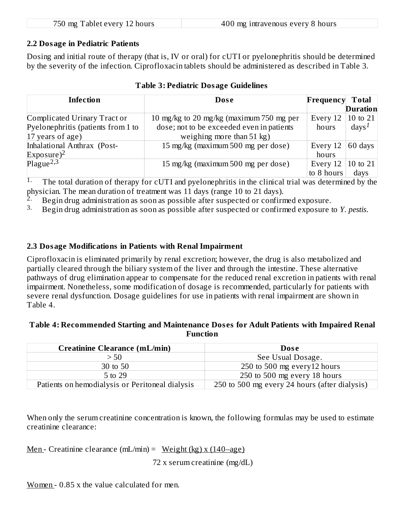| 750 mg Tablet every 12 hours | 400 mg intravenous every 8 hours |
|------------------------------|----------------------------------|
|                              |                                  |

#### **2.2 Dosage in Pediatric Patients**

Dosing and initial route of therapy (that is, IV or oral) for cUTI or pyelonephritis should be determined by the severity of the infection. Ciprofloxacin tablets should be administered as described in Table 3.

| <b>Infection</b>                   | Dose                                      | Frequency  | <b>Total</b>      |
|------------------------------------|-------------------------------------------|------------|-------------------|
|                                    |                                           |            | <b>Duration</b>   |
| Complicated Urinary Tract or       | 10 mg/kg to 20 mg/kg (maximum 750 mg per  | Every 12   | 10 to 21          |
| Pyelonephritis (patients from 1 to | dose; not to be exceeded even in patients | hours      | $\mathrm{days}^1$ |
| $17$ years of age)                 | weighing more than $51 \text{ kg}$ )      |            |                   |
| Inhalational Anthrax (Post-        | 15 mg/kg (maximum 500 mg per dose)        | Every 12   | 60 days           |
| Exposure) <sup>2</sup>             |                                           | hours      |                   |
| Plague <sup>2,3</sup>              | 15 mg/kg (maximum 500 mg per dose)        | Every 12   | 10 to 21          |
|                                    |                                           | to 8 hours | days              |

#### **Table 3: Pediatric Dosage Guidelines**

The total duration of therapy for cUTI and pyelonephritis in the clinical trial was determined by the physician. The mean duration of treatment was 11 days (range 10 to 21 days). 1.

Begin drug administration as soon as possible after suspected or confirmed exposure. 2.

Begin drug administration as soon as possible after suspected or confirmed exposure to *Y. pestis*. 3.

#### **2.3 Dosage Modifications in Patients with Renal Impairment**

Ciprofloxacin is eliminated primarily by renal excretion; however, the drug is also metabolized and partially cleared through the biliary system of the liver and through the intestine. These alternative pathways of drug elimination appear to compensate for the reduced renal excretion in patients with renal impairment. Nonetheless, some modification of dosage is recommended, particularly for patients with severe renal dysfunction. Dosage guidelines for use in patients with renal impairment are shown in Table 4.

#### **Table 4: Recommended Starting and Maintenance Dos es for Adult Patients with Impaired Renal Function**

| <b>Creatinine Clearance (mL/min)</b>            | Dose                                          |
|-------------------------------------------------|-----------------------------------------------|
| > 50                                            | See Usual Dosage.                             |
| 30 to 50                                        | 250 to 500 mg every12 hours                   |
| 5 to 29                                         | 250 to 500 mg every 18 hours                  |
| Patients on hemodialysis or Peritoneal dialysis | 250 to 500 mg every 24 hours (after dialysis) |

When only the serum creatinine concentration is known, the following formulas may be used to estimate creatinine clearance:

<u>Men</u> - Creatinine clearance  $(mL/min) = Weight (kg) x (140–age)$ 

72 x serum creatinine (mg/dL)

Women - 0.85 x the value calculated for men.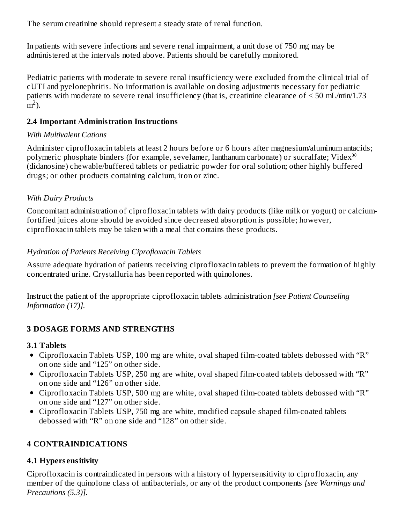The serum creatinine should represent a steady state of renal function.

In patients with severe infections and severe renal impairment, a unit dose of 750 mg may be administered at the intervals noted above. Patients should be carefully monitored.

Pediatric patients with moderate to severe renal insufficiency were excluded from the clinical trial of cUTI and pyelonephritis. No information is available on dosing adjustments necessary for pediatric patients with moderate to severe renal insufficiency (that is, creatinine clearance of < 50 mL/min/1.73  $\rm \bar{m}^2$ ).

#### **2.4 Important Administration Instructions**

#### *With Multivalent Cations*

Administer ciprofloxacin tablets at least 2 hours before or 6 hours after magnesium/aluminum antacids; polymeric phosphate binders (for example, sevelamer, lanthanum carbonate) or sucralfate; Videx $^{\circledR}$ (didanosine) chewable/buffered tablets or pediatric powder for oral solution; other highly buffered drugs; or other products containing calcium, iron or zinc.

#### *With Dairy Products*

Concomitant administration of ciprofloxacin tablets with dairy products (like milk or yogurt) or calciumfortified juices alone should be avoided since decreased absorption is possible; however, ciprofloxacin tablets may be taken with a meal that contains these products.

#### *Hydration of Patients Receiving Ciprofloxacin Tablets*

Assure adequate hydration of patients receiving ciprofloxacin tablets to prevent the formation of highly concentrated urine. Crystalluria has been reported with quinolones.

Instruct the patient of the appropriate ciprofloxacin tablets administration *[see Patient Counseling Information (17)].*

#### **3 DOSAGE FORMS AND STRENGTHS**

#### **3.1 Tablets**

- Ciprofloxacin Tablets USP, 100 mg are white, oval shaped film-coated tablets debossed with "R" on one side and "125" on other side.
- Ciprofloxacin Tablets USP, 250 mg are white, oval shaped film-coated tablets debossed with "R" on one side and "126" on other side.
- Ciprofloxacin Tablets USP, 500 mg are white, oval shaped film-coated tablets debossed with "R" on one side and "127" on other side.
- Ciprofloxacin Tablets USP, 750 mg are white, modified capsule shaped film-coated tablets debossed with "R" on one side and "128" on other side.

### **4 CONTRAINDICATIONS**

#### **4.1 Hypers ensitivity**

Ciprofloxacin is contraindicated in persons with a history of hypersensitivity to ciprofloxacin, any member of the quinolone class of antibacterials, or any of the product components *[see Warnings and Precautions (5.3)].*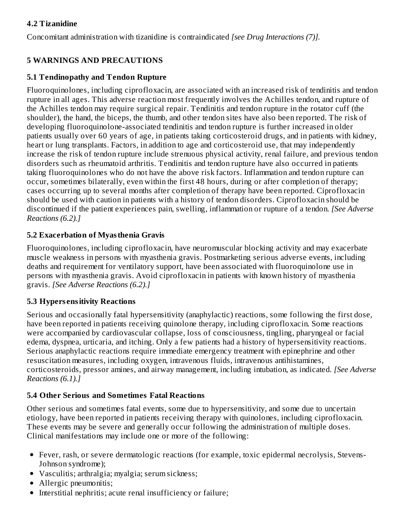### **4.2 Tizanidine**

Concomitant administration with tizanidine is contraindicated *[see Drug Interactions (7)].*

### **5 WARNINGS AND PRECAUTIONS**

### **5.1 Tendinopathy and Tendon Rupture**

Fluoroquinolones, including ciprofloxacin, are associated with an increased risk of tendinitis and tendon rupture in all ages. This adverse reaction most frequently involves the Achilles tendon, and rupture of the Achilles tendon may require surgical repair. Tendinitis and tendon rupture in the rotator cuff (the shoulder), the hand, the biceps, the thumb, and other tendon sites have also been reported. The risk of developing fluoroquinolone-associated tendinitis and tendon rupture is further increased in older patients usually over 60 years of age, in patients taking corticosteroid drugs, and in patients with kidney, heart or lung transplants. Factors, in addition to age and corticosteroid use, that may independently increase the risk of tendon rupture include strenuous physical activity, renal failure, and previous tendon disorders such as rheumatoid arthritis. Tendinitis and tendon rupture have also occurred in patients taking fluoroquinolones who do not have the above risk factors. Inflammation and tendon rupture can occur, sometimes bilaterally, even within the first 48 hours, during or after completion of therapy; cases occurring up to several months after completion of therapy have been reported. Ciprofloxacin should be used with caution in patients with a history of tendon disorders. Ciprofloxacin should be discontinued if the patient experiences pain, swelling, inflammation or rupture of a tendon. *[See Adverse Reactions (6.2).]*

### **5.2 Exacerbation of Myasthenia Gravis**

Fluoroquinolones, including ciprofloxacin, have neuromuscular blocking activity and may exacerbate muscle weakness in persons with myasthenia gravis. Postmarketing serious adverse events, including deaths and requirement for ventilatory support, have been associated with fluoroquinolone use in persons with myasthenia gravis. Avoid ciprofloxacin in patients with known history of myasthenia gravis. *[See Adverse Reactions (6.2).]*

### **5.3 Hypers ensitivity Reactions**

Serious and occasionally fatal hypersensitivity (anaphylactic) reactions, some following the first dose, have been reported in patients receiving quinolone therapy, including ciprofloxacin. Some reactions were accompanied by cardiovascular collapse, loss of consciousness, tingling, pharyngeal or facial edema, dyspnea, urticaria, and itching. Only a few patients had a history of hypersensitivity reactions. Serious anaphylactic reactions require immediate emergency treatment with epinephrine and other resuscitation measures, including oxygen, intravenous fluids, intravenous antihistamines, corticosteroids, pressor amines, and airway management, including intubation, as indicated. *[See Adverse Reactions (6.1).]*

### **5.4 Other Serious and Sometimes Fatal Reactions**

Other serious and sometimes fatal events, some due to hypersensitivity, and some due to uncertain etiology, have been reported in patients receiving therapy with quinolones, including ciprofloxacin. These events may be severe and generally occur following the administration of multiple doses. Clinical manifestations may include one or more of the following:

- Fever, rash, or severe dermatologic reactions (for example, toxic epidermal necrolysis, Stevens-Johnson syndrome);
- Vasculitis; arthralgia; myalgia; serum sickness;
- Allergic pneumonitis;
- Interstitial nephritis; acute renal insufficiency or failure;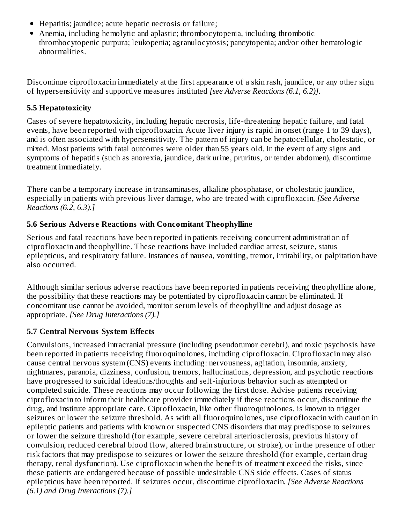- Hepatitis; jaundice; acute hepatic necrosis or failure;
- Anemia, including hemolytic and aplastic; thrombocytopenia, including thrombotic thrombocytopenic purpura; leukopenia; agranulocytosis; pancytopenia; and/or other hematologic abnormalities.

Discontinue ciprofloxacin immediately at the first appearance of a skin rash, jaundice, or any other sign of hypersensitivity and supportive measures instituted *[see Adverse Reactions (6.1, 6.2)].*

### **5.5 Hepatotoxicity**

Cases of severe hepatotoxicity, including hepatic necrosis, life-threatening hepatic failure, and fatal events, have been reported with ciprofloxacin. Acute liver injury is rapid in onset (range 1 to 39 days), and is often associated with hypersensitivity. The pattern of injury can be hepatocellular, cholestatic, or mixed. Most patients with fatal outcomes were older than 55 years old. In the event of any signs and symptoms of hepatitis (such as anorexia, jaundice, dark urine, pruritus, or tender abdomen), discontinue treatment immediately.

There can be a temporary increase in transaminases, alkaline phosphatase, or cholestatic jaundice, especially in patients with previous liver damage, who are treated with ciprofloxacin. *[See Adverse Reactions (6.2, 6.3).]*

### **5.6 Serious Advers e Reactions with Concomitant Theophylline**

Serious and fatal reactions have been reported in patients receiving concurrent administration of ciprofloxacin and theophylline. These reactions have included cardiac arrest, seizure, status epilepticus, and respiratory failure. Instances of nausea, vomiting, tremor, irritability, or palpitation have also occurred.

Although similar serious adverse reactions have been reported in patients receiving theophylline alone, the possibility that these reactions may be potentiated by ciprofloxacin cannot be eliminated. If concomitant use cannot be avoided, monitor serum levels of theophylline and adjust dosage as appropriate. *[See Drug Interactions (7).]*

### **5.7 Central Nervous System Effects**

Convulsions, increased intracranial pressure (including pseudotumor cerebri), and toxic psychosis have been reported in patients receiving fluoroquinolones, including ciprofloxacin. Ciprofloxacin may also cause central nervous system (CNS) events including: nervousness, agitation, insomnia, anxiety, nightmares, paranoia, dizziness, confusion, tremors, hallucinations, depression, and psychotic reactions have progressed to suicidal ideations/thoughts and self-injurious behavior such as attempted or completed suicide. These reactions may occur following the first dose. Advise patients receiving ciprofloxacin to inform their healthcare provider immediately if these reactions occur, discontinue the drug, and institute appropriate care. Ciprofloxacin, like other fluoroquinolones, is known to trigger seizures or lower the seizure threshold. As with all fluoroquinolones, use ciprofloxacin with caution in epileptic patients and patients with known or suspected CNS disorders that may predispose to seizures or lower the seizure threshold (for example, severe cerebral arteriosclerosis, previous history of convulsion, reduced cerebral blood flow, altered brain structure, or stroke), or in the presence of other risk factors that may predispose to seizures or lower the seizure threshold (for example, certain drug therapy, renal dysfunction). Use ciprofloxacin when the benefits of treatment exceed the risks, since these patients are endangered because of possible undesirable CNS side effects. Cases of status epilepticus have been reported. If seizures occur, discontinue ciprofloxacin. *[See Adverse Reactions (6.1) and Drug Interactions (7).]*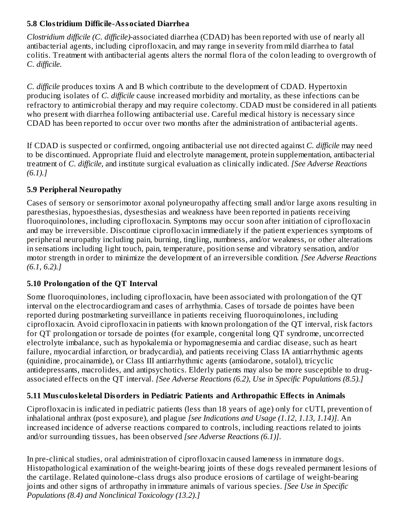### **5.8 Clostridium Difficile-Associated Diarrhea**

*Clostridium difficile (C. difficile)-*associated diarrhea (CDAD) has been reported with use of nearly all antibacterial agents, including ciprofloxacin, and may range in severity from mild diarrhea to fatal colitis. Treatment with antibacterial agents alters the normal flora of the colon leading to overgrowth of *C. difficile.*

*C. difficile* produces toxins A and B which contribute to the development of CDAD. Hypertoxin producing isolates of *C. difficile* cause increased morbidity and mortality, as these infections can be refractory to antimicrobial therapy and may require colectomy. CDAD must be considered in all patients who present with diarrhea following antibacterial use. Careful medical history is necessary since CDAD has been reported to occur over two months after the administration of antibacterial agents.

If CDAD is suspected or confirmed, ongoing antibacterial use not directed against *C. difficile* may need to be discontinued. Appropriate fluid and electrolyte management, protein supplementation, antibacterial treatment of *C. difficile*, and institute surgical evaluation as clinically indicated. *[See Adverse Reactions (6.1).]*

### **5.9 Peripheral Neuropathy**

Cases of sensory or sensorimotor axonal polyneuropathy affecting small and/or large axons resulting in paresthesias, hypoesthesias, dysesthesias and weakness have been reported in patients receiving fluoroquinolones, including ciprofloxacin. Symptoms may occur soon after initiation of ciprofloxacin and may be irreversible. Discontinue ciprofloxacin immediately if the patient experiences symptoms of peripheral neuropathy including pain, burning, tingling, numbness, and/or weakness, or other alterations in sensations including light touch, pain, temperature, position sense and vibratory sensation, and/or motor strength in order to minimize the development of an irreversible condition. *[See Adverse Reactions (6.1, 6.2).]*

### **5.10 Prolongation of the QT Interval**

Some fluoroquinolones, including ciprofloxacin, have been associated with prolongation of the QT interval on the electrocardiogram and cases of arrhythmia. Cases of torsade de pointes have been reported during postmarketing surveillance in patients receiving fluoroquinolones, including ciprofloxacin. Avoid ciprofloxacin in patients with known prolongation of the QT interval, risk factors for QT prolongation or torsade de pointes (for example, congenital long QT syndrome, uncorrected electrolyte imbalance, such as hypokalemia or hypomagnesemia and cardiac disease, such as heart failure, myocardial infarction, or bradycardia), and patients receiving Class IA antiarrhythmic agents (quinidine, procainamide), or Class III antiarrhythmic agents (amiodarone, sotalol), tricyclic antidepressants, macrolides, and antipsychotics. Elderly patients may also be more susceptible to drugassociated effects on the QT interval. *[See Adverse Reactions (6.2), Use in Specific Populations (8.5).]*

### **5.11 Mus culoskeletal Disorders in Pediatric Patients and Arthropathic Effects in Animals**

Ciprofloxacin is indicated in pediatric patients (less than 18 years of age) only for cUTI, prevention of inhalational anthrax (post exposure), and plague *[see Indications and Usage (1.12, 1.13, 1.14)]*. An increased incidence of adverse reactions compared to controls, including reactions related to joints and/or surrounding tissues, has been observed *[see Adverse Reactions (6.1)]*.

In pre-clinical studies, oral administration of ciprofloxacin caused lameness in immature dogs. Histopathological examination of the weight-bearing joints of these dogs revealed permanent lesions of the cartilage. Related quinolone-class drugs also produce erosions of cartilage of weight-bearing joints and other signs of arthropathy in immature animals of various species. *[See Use in Specific Populations (8.4) and Nonclinical Toxicology (13.2).]*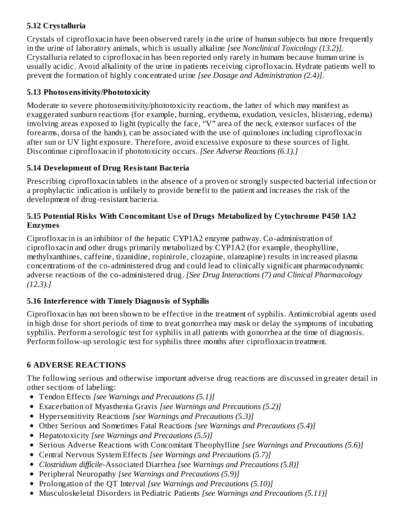### **5.12 Crystalluria**

Crystals of ciprofloxacin have been observed rarely in the urine of human subjects but more frequently in the urine of laboratory animals, which is usually alkaline *[see Nonclinical Toxicology (13.2)].* Crystalluria related to ciprofloxacin has been reported only rarely in humans because human urine is usually acidic. Avoid alkalinity of the urine in patients receiving ciprofloxacin. Hydrate patients well to prevent the formation of highly concentrated urine *[see Dosage and Administration (2.4)]*.

### **5.13 Photos ensitivity/Phototoxicity**

Moderate to severe photosensitivity/phototoxicity reactions, the latter of which may manifest as exaggerated sunburn reactions (for example, burning, erythema, exudation, vesicles, blistering, edema) involving areas exposed to light (typically the face, "V" area of the neck, extensor surfaces of the forearms, dorsa of the hands), can be associated with the use of quinolones including ciprofloxacin after sun or UV light exposure. Therefore, avoid excessive exposure to these sources of light. Discontinue ciprofloxacin if phototoxicity occurs. *[See Adverse Reactions (6.1).]*

### **5.14 Development of Drug Resistant Bacteria**

Prescribing ciprofloxacin tablets in the absence of a proven or strongly suspected bacterial infection or a prophylactic indication is unlikely to provide benefit to the patient and increases the risk of the development of drug-resistant bacteria.

#### **5.15 Potential Risks With Concomitant Us e of Drugs Metabolized by Cytochrome P450 1A2 Enzymes**

Ciprofloxacin is an inhibitor of the hepatic CYP1A2 enzyme pathway. Co-administration of ciprofloxacin and other drugs primarily metabolized by CYP1A2 (for example, theophylline, methylxanthines, caffeine, tizanidine, ropinirole, clozapine, olanzapine) results in increased plasma concentrations of the co-administered drug and could lead to clinically significant pharmacodynamic adverse reactions of the co-administered drug. *[See Drug Interactions (7) and Clinical Pharmacology (12.3).]*

### **5.16 Interference with Timely Diagnosis of Syphilis**

Ciprofloxacin has not been shown to be effective in the treatment of syphilis. Antimicrobial agents used in high dose for short periods of time to treat gonorrhea may mask or delay the symptoms of incubating syphilis. Perform a serologic test for syphilis in all patients with gonorrhea at the time of diagnosis. Perform follow-up serologic test for syphilis three months after ciprofloxacin treatment.

#### **6 ADVERSE REACTIONS**

The following serious and otherwise important adverse drug reactions are discussed in greater detail in other sections of labeling:

- Tendon Effects *[see Warnings and Precautions (5.1)]*
- Exacerbation of Myasthenia Gravis *[see Warnings and Precautions (5.2)]*
- Hypersensitivity Reactions *[see Warnings and Precautions (5.3)]*
- Other Serious and Sometimes Fatal Reactions *[see Warnings and Precautions (5.4)]*
- Hepatotoxicity *[see Warnings and Precautions (5.5)]*
- Serious Adverse Reactions with Concomitant Theophylline *[see Warnings and Precautions (5.6)]*
- Central Nervous System Effects *[see Warnings and Precautions (5.7)]*
- *Clostridium difficile*-Associated Diarrhea *[see Warnings and Precautions (5.8)]*
- Peripheral Neuropathy *[see Warnings and Precautions (5.9)]*
- Prolongation of the QT Interval *[see Warnings and Precautions (5.10)]*
- Musculoskeletal Disorders in Pediatric Patients *[see Warnings and Precautions (5.11)]*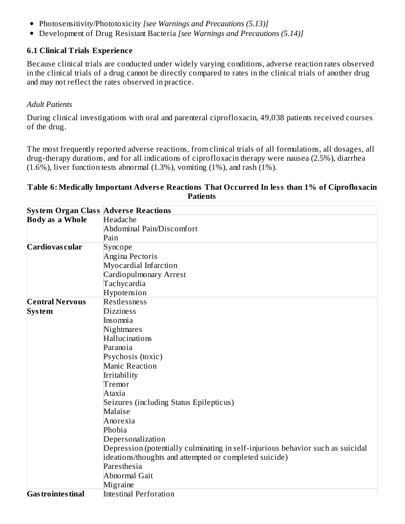- Photosensitivity/Phototoxicity *[see Warnings and Precautions (5.13)]*
- Development of Drug Resistant Bacteria *[see Warnings and Precautions (5.14)]*

#### **6.1 Clinical Trials Experience**

Because clinical trials are conducted under widely varying conditions, adverse reaction rates observed in the clinical trials of a drug cannot be directly compared to rates in the clinical trials of another drug and may not reflect the rates observed in practice.

#### *Adult Patients*

During clinical investigations with oral and parenteral ciprofloxacin, 49,038 patients received courses of the drug.

The most frequently reported adverse reactions, from clinical trials of all formulations, all dosages, all drug-therapy durations, and for all indications of ciprofloxacin therapy were nausea (2.5%), diarrhea  $(1.6\%)$ , liver function tests abnormal  $(1.3\%)$ , vomiting  $(1\%)$ , and rash  $(1\%)$ .

#### **Table 6: Medically Important Advers e Reactions That Occurred In less than 1% of Ciprofloxacin Patients**

|                           | <b>System Organ Class Adverse Reactions</b>                                     |
|---------------------------|---------------------------------------------------------------------------------|
| <b>Body as a Whole</b>    | Headache                                                                        |
|                           | <b>Abdominal Pain/Discomfort</b>                                                |
|                           | Pain                                                                            |
| Cardiovas cular           | Syncope                                                                         |
|                           | Angina Pectoris                                                                 |
|                           | Myocardial Infarction                                                           |
|                           | Cardiopulmonary Arrest                                                          |
|                           | Tachycardia                                                                     |
|                           | Hypotension                                                                     |
| <b>Central Nervous</b>    | Restlessness                                                                    |
| <b>System</b>             | <b>Dizziness</b>                                                                |
|                           | Insomnia                                                                        |
|                           | Nightmares                                                                      |
|                           | Hallucinations                                                                  |
|                           | Paranoia                                                                        |
|                           | Psychosis (toxic)                                                               |
|                           | <b>Manic Reaction</b>                                                           |
|                           | Irritability                                                                    |
|                           | Tremor                                                                          |
|                           | Ataxia                                                                          |
|                           | Seizures (including Status Epilepticus)                                         |
|                           | Malaise                                                                         |
|                           | Anorexia                                                                        |
|                           | Phobia                                                                          |
|                           | Depersonalization                                                               |
|                           | Depression (potentially culminating in self-injurious behavior such as suicidal |
|                           | ideations/thoughts and attempted or completed suicide)                          |
|                           | Paresthesia                                                                     |
|                           | Abnormal Gait                                                                   |
|                           | Migraine                                                                        |
| <b>Gas trointes tinal</b> | <b>Intestinal Perforation</b>                                                   |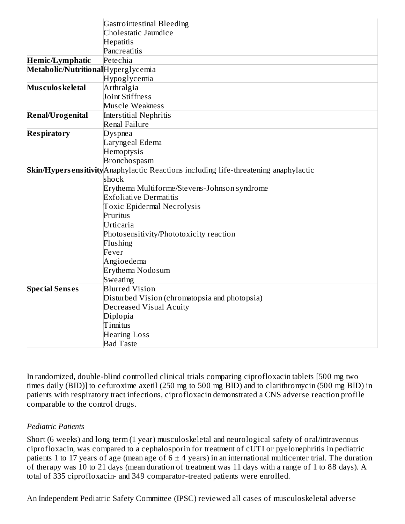|                                    | <b>Gastrointestinal Bleeding</b>                                                     |
|------------------------------------|--------------------------------------------------------------------------------------|
|                                    | Cholestatic Jaundice                                                                 |
|                                    | <b>Hepatitis</b>                                                                     |
|                                    | Pancreatitis                                                                         |
| <b>Hemic/Lymphatic</b>             | Petechia                                                                             |
| Metabolic/NutritionalHyperglycemia |                                                                                      |
|                                    | Hypoglycemia                                                                         |
| Mus culos keletal                  | Arthralgia                                                                           |
|                                    | Joint Stiffness                                                                      |
|                                    | Muscle Weakness                                                                      |
| <b>Renal/Urogenital</b>            | <b>Interstitial Nephritis</b>                                                        |
|                                    | <b>Renal Failure</b>                                                                 |
| <b>Respiratory</b>                 | Dyspnea                                                                              |
|                                    | Laryngeal Edema                                                                      |
|                                    | Hemoptysis                                                                           |
|                                    | <b>Bronchospasm</b>                                                                  |
|                                    | Skin/Hypersensitivity Anaphylactic Reactions including life-threatening anaphylactic |
|                                    | shock                                                                                |
|                                    | Erythema Multiforme/Stevens-Johnson syndrome                                         |
|                                    | <b>Exfoliative Dermatitis</b>                                                        |
|                                    | <b>Toxic Epidermal Necrolysis</b>                                                    |
|                                    | Pruritus                                                                             |
|                                    | Urticaria                                                                            |
|                                    | Photosensitivity/Phototoxicity reaction                                              |
|                                    | Flushing                                                                             |
|                                    | Fever                                                                                |
|                                    | Angioedema                                                                           |
|                                    | Erythema Nodosum                                                                     |
|                                    | Sweating                                                                             |
| <b>Special Senses</b>              | <b>Blurred Vision</b>                                                                |
|                                    | Disturbed Vision (chromatopsia and photopsia)                                        |
|                                    | <b>Decreased Visual Acuity</b>                                                       |
|                                    | Diplopia                                                                             |
|                                    | Tinnitus                                                                             |
|                                    | <b>Hearing Loss</b>                                                                  |
|                                    | <b>Bad Taste</b>                                                                     |

In randomized, double-blind controlled clinical trials comparing ciprofloxacin tablets [500 mg two times daily (BID)] to cefuroxime axetil (250 mg to 500 mg BID) and to clarithromycin (500 mg BID) in patients with respiratory tract infections, ciprofloxacin demonstrated a CNS adverse reaction profile comparable to the control drugs.

#### *Pediatric Patients*

Short (6 weeks) and long term (1 year) musculoskeletal and neurological safety of oral/intravenous ciprofloxacin, was compared to a cephalosporin for treatment of cUTI or pyelonephritis in pediatric patients 1 to 17 years of age (mean age of  $6 \pm 4$  years) in an international multicenter trial. The duration of therapy was 10 to 21 days (mean duration of treatment was 11 days with a range of 1 to 88 days). A total of 335 ciprofloxacin- and 349 comparator-treated patients were enrolled.

An Independent Pediatric Safety Committee (IPSC) reviewed all cases of musculoskeletal adverse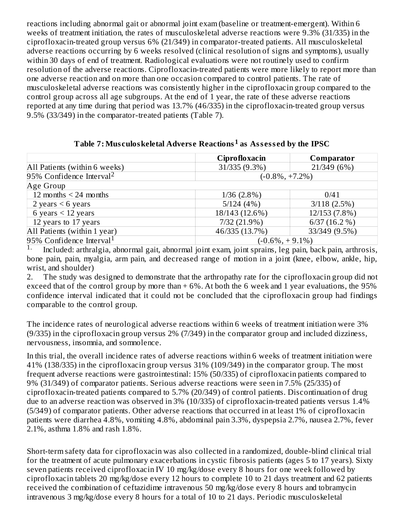reactions including abnormal gait or abnormal joint exam (baseline or treatment-emergent). Within 6 weeks of treatment initiation, the rates of musculoskeletal adverse reactions were 9.3% (31/335) in the ciprofloxacin-treated group versus 6% (21/349) in comparator-treated patients. All musculoskeletal adverse reactions occurring by 6 weeks resolved (clinical resolution of signs and symptoms), usually within 30 days of end of treatment. Radiological evaluations were not routinely used to confirm resolution of the adverse reactions. Ciprofloxacin-treated patients were more likely to report more than one adverse reaction and on more than one occasion compared to control patients. The rate of musculoskeletal adverse reactions was consistently higher in the ciprofloxacin group compared to the control group across all age subgroups. At the end of 1 year, the rate of these adverse reactions reported at any time during that period was 13.7% (46/335) in the ciprofloxacin-treated group versus 9.5% (33/349) in the comparator-treated patients (Table 7).

|                                      | Ciprofloxacin      | Comparator        |  |  |
|--------------------------------------|--------------------|-------------------|--|--|
| All Patients (within 6 weeks)        | 31/335 (9.3%)      | 21/349 (6%)       |  |  |
| 95% Confidence Interval <sup>2</sup> | $(-0.8\%, +7.2\%)$ |                   |  |  |
| Age Group                            |                    |                   |  |  |
| 12 months $\leq$ 24 months           | $1/36$ $(2.8\%)$   | 0/41              |  |  |
| 2 years $<$ 6 years                  | 5/124(4%)          | $3/118$ $(2.5\%)$ |  |  |
| 6 years $<$ 12 years                 | 18/143 (12.6%)     | 12/153 (7.8%)     |  |  |
| 12 years to 17 years                 | 7/32 (21.9%)       | $6/37(16.2\%)$    |  |  |
| All Patients (within 1 year)         | 46/335 (13.7%)     | 33/349 (9.5%)     |  |  |
| 95% Confidence Interval <sup>1</sup> | $(-0.6\%, +9.1\%)$ |                   |  |  |

<code>Table 7: Musculoskeletal Adverse Reactions $^1$  as Assessed by the <code>IPSC</code></code>

Included: arthralgia, abnormal gait, abnormal joint exam, joint sprains, leg pain, back pain, arthrosis, bone pain, pain, myalgia, arm pain, and decreased range of motion in a joint (knee, elbow, ankle, hip, wrist, and shoulder) 1.

2. The study was designed to demonstrate that the arthropathy rate for the ciprofloxacin group did not exceed that of the control group by more than + 6%. At both the 6 week and 1 year evaluations, the 95% confidence interval indicated that it could not be concluded that the ciprofloxacin group had findings comparable to the control group.

The incidence rates of neurological adverse reactions within 6 weeks of treatment initiation were 3% (9/335) in the ciprofloxacin group versus 2% (7/349) in the comparator group and included dizziness, nervousness, insomnia, and somnolence.

In this trial, the overall incidence rates of adverse reactions within 6 weeks of treatment initiation were 41% (138/335) in the ciprofloxacin group versus 31% (109/349) in the comparator group. The most frequent adverse reactions were gastrointestinal: 15% (50/335) of ciprofloxacin patients compared to 9% (31/349) of comparator patients. Serious adverse reactions were seen in 7.5% (25/335) of ciprofloxacin-treated patients compared to 5.7% (20/349) of control patients. Discontinuation of drug due to an adverse reaction was observed in 3% (10/335) of ciprofloxacin-treated patients versus 1.4% (5/349) of comparator patients. Other adverse reactions that occurred in at least 1% of ciprofloxacin patients were diarrhea 4.8%, vomiting 4.8%, abdominal pain 3.3%, dyspepsia 2.7%, nausea 2.7%, fever 2.1%, asthma 1.8% and rash 1.8%.

Short-term safety data for ciprofloxacin was also collected in a randomized, double-blind clinical trial for the treatment of acute pulmonary exacerbations in cystic fibrosis patients (ages 5 to 17 years). Sixty seven patients received ciprofloxacin IV 10 mg/kg/dose every 8 hours for one week followed by ciprofloxacin tablets 20 mg/kg/dose every 12 hours to complete 10 to 21 days treatment and 62 patients received the combination of ceftazidime intravenous 50 mg/kg/dose every 8 hours and tobramycin intravenous 3 mg/kg/dose every 8 hours for a total of 10 to 21 days. Periodic musculoskeletal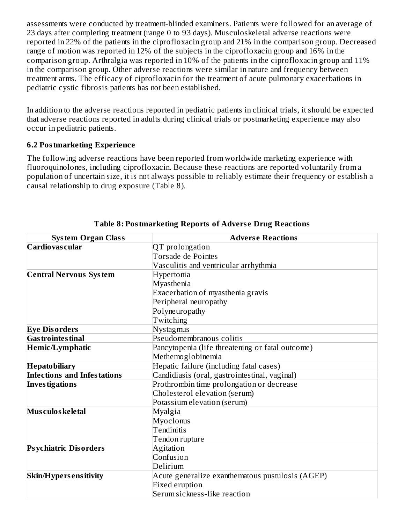assessments were conducted by treatment-blinded examiners. Patients were followed for an average of 23 days after completing treatment (range 0 to 93 days). Musculoskeletal adverse reactions were reported in 22% of the patients in the ciprofloxacin group and 21% in the comparison group. Decreased range of motion was reported in 12% of the subjects in the ciprofloxacin group and 16% in the comparison group. Arthralgia was reported in 10% of the patients in the ciprofloxacin group and 11% in the comparison group. Other adverse reactions were similar in nature and frequency between treatment arms. The efficacy of ciprofloxacin for the treatment of acute pulmonary exacerbations in pediatric cystic fibrosis patients has not been established.

In addition to the adverse reactions reported in pediatric patients in clinical trials, it should be expected that adverse reactions reported in adults during clinical trials or postmarketing experience may also occur in pediatric patients.

#### **6.2 Postmarketing Experience**

The following adverse reactions have been reported from worldwide marketing experience with fluoroquinolones, including ciprofloxacin. Because these reactions are reported voluntarily from a population of uncertain size, it is not always possible to reliably estimate their frequency or establish a causal relationship to drug exposure (Table 8).

| <b>System Organ Class</b>          | <b>Adverse Reactions</b>                         |  |  |  |
|------------------------------------|--------------------------------------------------|--|--|--|
| Cardiovas cular                    | QT prolongation                                  |  |  |  |
|                                    | <b>Torsade de Pointes</b>                        |  |  |  |
|                                    | Vasculitis and ventricular arrhythmia            |  |  |  |
| <b>Central Nervous System</b>      | Hypertonia                                       |  |  |  |
|                                    | Myasthenia                                       |  |  |  |
|                                    | Exacerbation of myasthenia gravis                |  |  |  |
|                                    | Peripheral neuropathy                            |  |  |  |
|                                    | Polyneuropathy                                   |  |  |  |
|                                    | Twitching                                        |  |  |  |
| <b>Eye Disorders</b>               | Nystagmus                                        |  |  |  |
| <b>Gas trointes tinal</b>          | Pseudomembranous colitis                         |  |  |  |
| <b>Hemic/Lymphatic</b>             | Pancytopenia (life threatening or fatal outcome) |  |  |  |
|                                    | Methemoglobinemia                                |  |  |  |
| <b>Hepatobiliary</b>               | Hepatic failure (including fatal cases)          |  |  |  |
| <b>Infections and Infestations</b> | Candidiasis (oral, gastrointestinal, vaginal)    |  |  |  |
| <b>Investigations</b>              | Prothrombin time prolongation or decrease        |  |  |  |
|                                    | Cholesterol elevation (serum)                    |  |  |  |
|                                    | Potassium elevation (serum)                      |  |  |  |
| Mus culos keletal                  | Myalgia                                          |  |  |  |
|                                    | Myoclonus                                        |  |  |  |
|                                    | Tendinitis                                       |  |  |  |
|                                    | Tendon rupture                                   |  |  |  |
| <b>Psychiatric Disorders</b>       | Agitation                                        |  |  |  |
|                                    | Confusion                                        |  |  |  |
|                                    | Delirium                                         |  |  |  |
| <b>Skin/Hypers ensitivity</b>      | Acute generalize exanthematous pustulosis (AGEP) |  |  |  |
|                                    | Fixed eruption                                   |  |  |  |
|                                    | Serum sickness-like reaction                     |  |  |  |

#### **Table 8: Postmarketing Reports of Advers e Drug Reactions**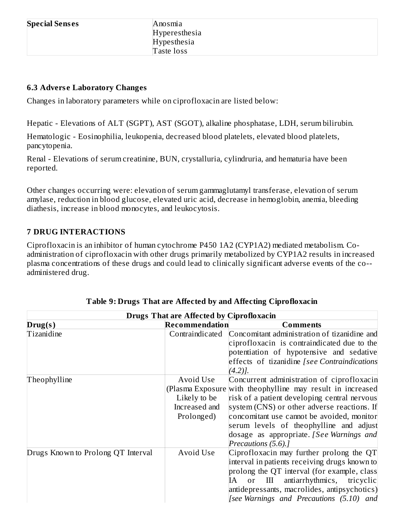#### **6.3 Advers e Laboratory Changes**

Changes in laboratory parameters while on ciprofloxacin are listed below:

Hepatic - Elevations of ALT (SGPT), AST (SGOT), alkaline phosphatase, LDH, serum bilirubin.

Hematologic - Eosinophilia, leukopenia, decreased blood platelets, elevated blood platelets, pancytopenia.

Renal - Elevations of serum creatinine, BUN, crystalluria, cylindruria, and hematuria have been reported.

Other changes occurring were: elevation of serum gammaglutamyl transferase, elevation of serum amylase, reduction in blood glucose, elevated uric acid, decrease in hemoglobin, anemia, bleeding diathesis, increase in blood monocytes, and leukocytosis.

#### **7 DRUG INTERACTIONS**

Ciprofloxacin is an inhibitor of human cytochrome P450 1A2 (CYP1A2) mediated metabolism. Coadministration of ciprofloxacin with other drugs primarily metabolized by CYP1A2 results in increased plasma concentrations of these drugs and could lead to clinically significant adverse events of the co- administered drug.

| <b>Drugs That are Affected by Ciprofloxacin</b> |                 |                                                            |  |  |
|-------------------------------------------------|-----------------|------------------------------------------------------------|--|--|
| Drug(s)                                         | Recommendation  | <b>Comments</b>                                            |  |  |
| Tizanidine                                      | Contraindicated | Concomitant administration of tizanidine and               |  |  |
|                                                 |                 | ciprofloxacin is contraindicated due to the                |  |  |
|                                                 |                 | potentiation of hypotensive and sedative                   |  |  |
|                                                 |                 | effects of tizanidine [see Contraindications               |  |  |
|                                                 |                 | $(4.2)$ ].                                                 |  |  |
| Theophylline                                    | Avoid Use       | Concurrent administration of ciprofloxacin                 |  |  |
|                                                 |                 | (Plasma Exposure with theophylline may result in increased |  |  |
|                                                 | Likely to be    | risk of a patient developing central nervous               |  |  |
|                                                 | Increased and   | system (CNS) or other adverse reactions. If                |  |  |
|                                                 | Prolonged)      | concomitant use cannot be avoided, monitor                 |  |  |
|                                                 |                 | serum levels of theophylline and adjust                    |  |  |
|                                                 |                 | dosage as appropriate. [See Warnings and                   |  |  |
|                                                 |                 | Precautions (5.6).]                                        |  |  |
| Drugs Known to Prolong QT Interval              | Avoid Use       | Ciprofloxacin may further prolong the QT                   |  |  |
|                                                 |                 | interval in patients receiving drugs known to              |  |  |
|                                                 |                 | prolong the QT interval (for example, class                |  |  |
|                                                 |                 | antiarrhythmics, tricyclic<br>IA<br>or<br>III              |  |  |
|                                                 |                 | antidepressants, macrolides, antipsychotics)               |  |  |
|                                                 |                 | [see Warnings and Precautions (5.10) and                   |  |  |

| Table 9: Drugs That are Affected by and Affecting Ciprofloxacin |  |  |  |
|-----------------------------------------------------------------|--|--|--|
|-----------------------------------------------------------------|--|--|--|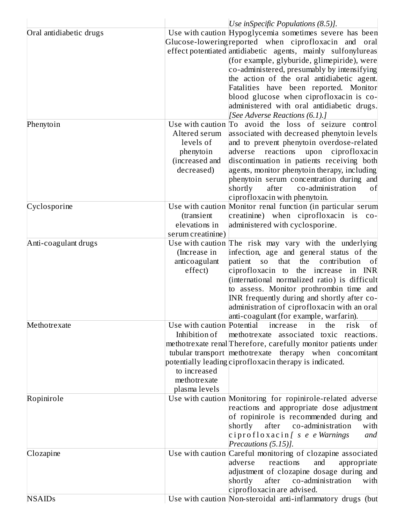|                                      | Use inSpecific Populations $(8.5)$ ].                                                                                                                                                                                                                                                                                                                                                                                                                                                                                                                      |
|--------------------------------------|------------------------------------------------------------------------------------------------------------------------------------------------------------------------------------------------------------------------------------------------------------------------------------------------------------------------------------------------------------------------------------------------------------------------------------------------------------------------------------------------------------------------------------------------------------|
| Oral antidiabetic drugs<br>Phenytoin | Use with caution Hypoglycemia sometimes severe has been<br>Glucose-lowering reported when ciprofloxacin and oral<br>effect potentiated antidiabetic agents, mainly sulfonylureas<br>(for example, glyburide, glimepiride), were<br>co-administered, presumably by intensifying<br>the action of the oral antidiabetic agent.<br>Fatalities have been reported. Monitor<br>blood glucose when ciprofloxacin is co-<br>administered with oral antidiabetic drugs.<br>[See Adverse Reactions (6.1).]<br>Use with caution To avoid the loss of seizure control |
|                                      | Altered serum<br>associated with decreased phenytoin levels<br>levels of<br>and to prevent phenytoin overdose-related<br>phenytoin<br>adverse reactions<br>upon ciprofloxacin<br>discontinuation in patients receiving both<br>(increased and<br>agents, monitor phenytoin therapy, including<br>decreased)<br>phenytoin serum concentration during and<br>shortly<br>after<br>co-administration<br>οf<br>ciprofloxacin with phenytoin.                                                                                                                    |
| Cyclosporine                         | Use with caution Monitor renal function (in particular serum<br>creatinine) when ciprofloxacin is co-<br>(transient<br>elevations in<br>administered with cyclosporine.<br>serum creatinine)                                                                                                                                                                                                                                                                                                                                                               |
| Anti-coagulant drugs                 | Use with caution The risk may vary with the underlying<br>infection, age and general status of the<br>(Increase in<br>anticoagulant<br>patient so that<br>the<br>contribution<br>οf<br>effect)<br>ciprofloxacin to the increase in INR<br>(international normalized ratio) is difficult<br>to assess. Monitor prothrombin time and<br>INR frequently during and shortly after co-<br>administration of ciprofloxacin with an oral<br>anti-coagulant (for example, warfarin).                                                                               |
| Methotrexate                         | Use with caution Potential<br>increase<br>the<br>risk<br>in<br>of<br>Inhibition of<br>methotrexate associated toxic reactions.<br>methotrexate renal Therefore, carefully monitor patients under<br>tubular transport methotrexate therapy when concomitant<br>potentially leading ciprofloxacin therapy is indicated.<br>to increased<br>methotrexate<br>plasma levels                                                                                                                                                                                    |
| Ropinirole                           | Use with caution Monitoring for ropinirole-related adverse<br>reactions and appropriate dose adjustment<br>of ropinirole is recommended during and<br>co-administration<br>shortly<br>after<br>with<br>ciprofloxacin [ s e e Warnings<br>and<br>Precautions (5.15)].                                                                                                                                                                                                                                                                                       |
| Clozapine                            | Use with caution Careful monitoring of clozapine associated<br>reactions<br>and<br>adverse<br>appropriate<br>adjustment of clozapine dosage during and<br>shortly<br>after<br>co-administration<br>with<br>ciprofloxacin are advised.                                                                                                                                                                                                                                                                                                                      |
| <b>NSAIDs</b>                        | Use with caution Non-steroidal anti-inflammatory drugs (but                                                                                                                                                                                                                                                                                                                                                                                                                                                                                                |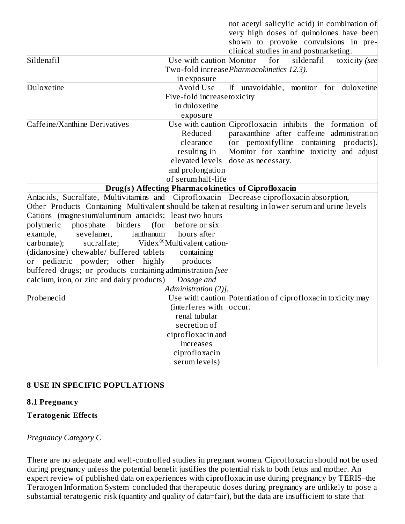|                                                                                          |                             | not acetyl salicylic acid) in combination of<br>very high doses of quinolones have been<br>shown to provoke convulsions in pre-<br>clinical studies in and postmarketing. |
|------------------------------------------------------------------------------------------|-----------------------------|---------------------------------------------------------------------------------------------------------------------------------------------------------------------------|
| Sildenafil                                                                               | Use with caution Monitor    | for<br>sildenafil<br>toxicity (see                                                                                                                                        |
|                                                                                          |                             | Two-fold increasePharmacokinetics 12.3).                                                                                                                                  |
|                                                                                          | in exposure                 |                                                                                                                                                                           |
| Duloxetine                                                                               | Avoid Use                   | If unavoidable, monitor for duloxetine                                                                                                                                    |
|                                                                                          | Five-fold increase toxicity |                                                                                                                                                                           |
|                                                                                          | in duloxetine               |                                                                                                                                                                           |
|                                                                                          | exposure                    |                                                                                                                                                                           |
| Caffeine/Xanthine Derivatives                                                            |                             | Use with caution Ciprofloxacin inhibits the formation of                                                                                                                  |
|                                                                                          | Reduced                     | paraxanthine after caffeine administration                                                                                                                                |
|                                                                                          | clearance                   | (or pentoxifylline containing products).                                                                                                                                  |
|                                                                                          | resulting in                | Monitor for xanthine toxicity and adjust                                                                                                                                  |
|                                                                                          | elevated levels             | dose as necessary.                                                                                                                                                        |
|                                                                                          | and prolongation            |                                                                                                                                                                           |
|                                                                                          | of serum half-life          |                                                                                                                                                                           |
|                                                                                          |                             | <b>Drug(s) Affecting Pharmacokinetics of Ciprofloxacin</b>                                                                                                                |
| Antacids, Sucralfate, Multivitamins and Ciprofloxacin Decrease ciprofloxacin absorption, |                             |                                                                                                                                                                           |
|                                                                                          |                             | Other Products Containing Multivalent should be taken at resulting in lower serum and urine levels                                                                        |
| Cations (magnesium/aluminum antacids; least two hours                                    |                             |                                                                                                                                                                           |
| polymeric<br>phosphate<br>binders<br>(for                                                | before or six               |                                                                                                                                                                           |
| example,<br>sevelamer,<br>lanthanum                                                      | hours after                 |                                                                                                                                                                           |
| sucralfate; Videx <sup>®</sup> Multivalent cation-<br>carbonate);                        |                             |                                                                                                                                                                           |
| (didanosine) chewable/ buffered tablets                                                  | containing                  |                                                                                                                                                                           |
| or pediatric powder; other highly                                                        | products                    |                                                                                                                                                                           |
| buffered drugs; or products containing administration [see                               |                             |                                                                                                                                                                           |
| calcium, iron, or zinc and dairy products)                                               | Dosage and                  |                                                                                                                                                                           |
|                                                                                          | Administration (2)].        |                                                                                                                                                                           |
| Probenecid                                                                               |                             | Use with caution Potentiation of ciprofloxacin toxicity may                                                                                                               |
|                                                                                          | (interferes with occur.     |                                                                                                                                                                           |
|                                                                                          | renal tubular               |                                                                                                                                                                           |
|                                                                                          | secretion of                |                                                                                                                                                                           |
|                                                                                          | ciprofloxacin and           |                                                                                                                                                                           |
|                                                                                          | increases                   |                                                                                                                                                                           |
|                                                                                          | ciprofloxacin               |                                                                                                                                                                           |
|                                                                                          | serum levels)               |                                                                                                                                                                           |

#### **8 USE IN SPECIFIC POPULATIONS**

#### **8.1 Pregnancy**

#### **Teratogenic Effects**

### *Pregnancy Category C*

There are no adequate and well-controlled studies in pregnant women. Ciprofloxacin should not be used during pregnancy unless the potential benefit justifies the potential risk to both fetus and mother. An expert review of published data on experiences with ciprofloxacin use during pregnancy by TERIS–the Teratogen Information System–concluded that therapeutic doses during pregnancy are unlikely to pose a substantial teratogenic risk (quantity and quality of data=fair), but the data are insufficient to state that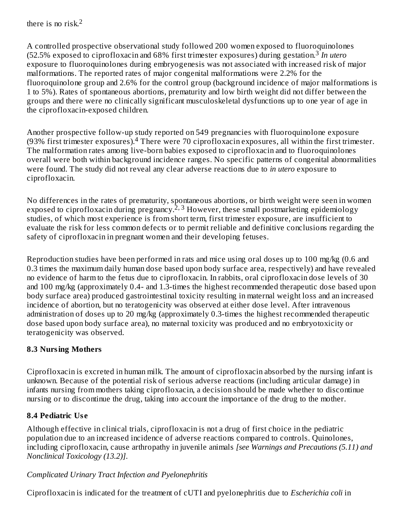there is no risk. 2

A controlled prospective observational study followed 200 women exposed to fluoroquinolones (52.5% exposed to ciprofloxacin and 68% first trimester exposures) during gestation. *In utero* 3 exposure to fluoroquinolones during embryogenesis was not associated with increased risk of major malformations. The reported rates of major congenital malformations were 2.2% for the fluoroquinolone group and 2.6% for the control group (background incidence of major malformations is 1 to 5%). Rates of spontaneous abortions, prematurity and low birth weight did not differ between the groups and there were no clinically significant musculoskeletal dysfunctions up to one year of age in the ciprofloxacin-exposed children.

Another prospective follow-up study reported on 549 pregnancies with fluoroquinolone exposure (93% first trimester exposures). <sup>4</sup> There were 70 ciprofloxacin exposures, all within the first trimester. The malformation rates among live-born babies exposed to ciprofloxacin and to fluoroquinolones overall were both within background incidence ranges. No specific patterns of congenital abnormalities were found. The study did not reveal any clear adverse reactions due to *in utero* exposure to ciprofloxacin.

No differences in the rates of prematurity, spontaneous abortions, or birth weight were seen in women exposed to ciprofloxacin during pregnancy.<sup>2, 3</sup> However, these small postmarketing epidemiology studies, of which most experience is from short term, first trimester exposure, are insufficient to evaluate the risk for less common defects or to permit reliable and definitive conclusions regarding the safety of ciprofloxacin in pregnant women and their developing fetuses.

Reproduction studies have been performed in rats and mice using oral doses up to 100 mg/kg (0.6 and 0.3 times the maximum daily human dose based upon body surface area, respectively) and have revealed no evidence of harm to the fetus due to ciprofloxacin. In rabbits, oral ciprofloxacin dose levels of 30 and 100 mg/kg (approximately 0.4- and 1.3-times the highest recommended therapeutic dose based upon body surface area) produced gastrointestinal toxicity resulting in maternal weight loss and an increased incidence of abortion, but no teratogenicity was observed at either dose level. After intravenous administration of doses up to 20 mg/kg (approximately 0.3-times the highest recommended therapeutic dose based upon body surface area), no maternal toxicity was produced and no embryotoxicity or teratogenicity was observed.

### **8.3 Nursing Mothers**

Ciprofloxacin is excreted in human milk. The amount of ciprofloxacin absorbed by the nursing infant is unknown. Because of the potential risk of serious adverse reactions (including articular damage) in infants nursing from mothers taking ciprofloxacin, a decision should be made whether to discontinue nursing or to discontinue the drug, taking into account the importance of the drug to the mother.

### **8.4 Pediatric Us e**

Although effective in clinical trials, ciprofloxacin is not a drug of first choice in the pediatric population due to an increased incidence of adverse reactions compared to controls. Quinolones, including ciprofloxacin, cause arthropathy in juvenile animals *[see Warnings and Precautions (5.11) and Nonclinical Toxicology (13.2)]*.

#### *Complicated Urinary Tract Infection and Pyelonephritis*

Ciprofloxacin is indicated for the treatment of cUTI and pyelonephritis due to *Escherichia coli* in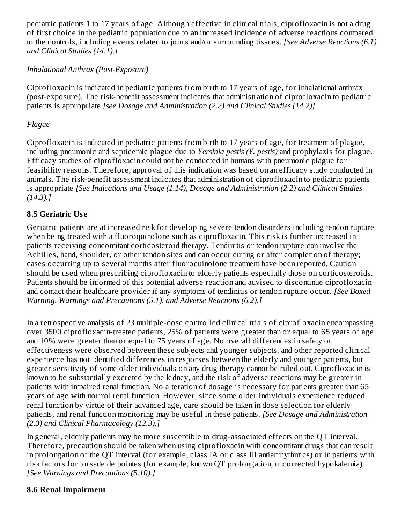pediatric patients 1 to 17 years of age*.* Although effective in clinical trials, ciprofloxacin is not a drug of first choice in the pediatric population due to an increased incidence of adverse reactions compared to the controls, including events related to joints and/or surrounding tissues. *[See Adverse Reactions (6.1) and Clinical Studies (14.1).]*

### *Inhalational Anthrax (Post-Exposure)*

Ciprofloxacin is indicated in pediatric patients from birth to 17 years of age, for inhalational anthrax (post-exposure). The risk-benefit assessment indicates that administration of ciprofloxacin to pediatric patients is appropriate *[see Dosage and Administration (2.2) and Clinical Studies (14.2)].*

#### *Plague*

Ciprofloxacin is indicated in pediatric patients from birth to 17 years of age, for treatment of plague, including pneumonic and septicemic plague due to *Yersinia pestis (Y. pestis)* and prophylaxis for plague. Efficacy studies of ciprofloxacin could not be conducted in humans with pneumonic plague for feasibility reasons. Therefore, approval of this indication was based on an efficacy study conducted in animals. The risk-benefit assessment indicates that administration of ciprofloxacin to pediatric patients is appropriate *[See Indications and Usage (1.14), Dosage and Administration (2.2) and Clinical Studies (14.3).]*

### **8.5 Geriatric Us e**

Geriatric patients are at increased risk for developing severe tendon disorders including tendon rupture when being treated with a fluoroquinolone such as ciprofloxacin. This risk is further increased in patients receiving concomitant corticosteroid therapy. Tendinitis or tendon rupture can involve the Achilles, hand, shoulder, or other tendon sites and can occur during or after completion of therapy; cases occurring up to several months after fluoroquinolone treatment have been reported. Caution should be used when prescribing ciprofloxacin to elderly patients especially those on corticosteroids. Patients should be informed of this potential adverse reaction and advised to discontinue ciprofloxacin and contact their healthcare provider if any symptoms of tendinitis or tendon rupture occur*. [See Boxed Warning, Warnings and Precautions (5.1), and Adverse Reactions (6.2).]*

In a retrospective analysis of 23 multiple-dose controlled clinical trials of ciprofloxacin encompassing over 3500 ciprofloxacin-treated patients, 25% of patients were greater than or equal to 65 years of age and 10% were greater than or equal to 75 years of age. No overall differences in safety or effectiveness were observed between these subjects and younger subjects, and other reported clinical experience has not identified differences in responses between the elderly and younger patients, but greater sensitivity of some older individuals on any drug therapy cannot be ruled out. Ciprofloxacin is known to be substantially excreted by the kidney, and the risk of adverse reactions may be greater in patients with impaired renal function. No alteration of dosage is necessary for patients greater than 65 years of age with normal renal function. However, since some older individuals experience reduced renal function by virtue of their advanced age, care should be taken in dose selection for elderly patients, and renal function monitoring may be useful in these patients. *[See Dosage and Administration (2.3) and Clinical Pharmacology (12.3).]*

In general, elderly patients may be more susceptible to drug-associated effects on the QT interval. Therefore, precaution should be taken when using ciprofloxacin with concomitant drugs that can result in prolongation of the QT interval (for example, class IA or class III antiarrhythmics) or in patients with risk factors for torsade de pointes (for example, known QT prolongation, uncorrected hypokalemia). *[See Warnings and Precautions (5.10).]*

#### **8.6 Renal Impairment**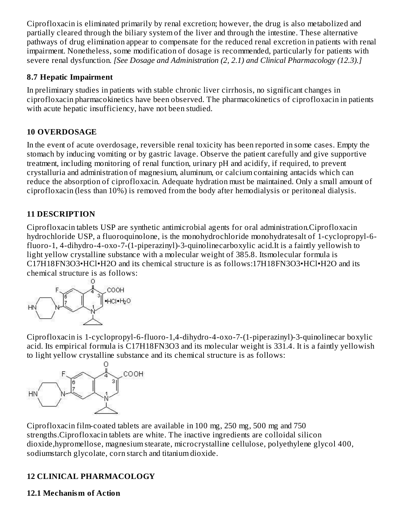Ciprofloxacin is eliminated primarily by renal excretion; however, the drug is also metabolized and partially cleared through the biliary system of the liver and through the intestine. These alternative pathways of drug elimination appear to compensate for the reduced renal excretion in patients with renal impairment. Nonetheless, some modification of dosage is recommended, particularly for patients with severe renal dysfunction. *[See Dosage and Administration (2, 2.1) and Clinical Pharmacology (12.3).]*

### **8.7 Hepatic Impairment**

In preliminary studies in patients with stable chronic liver cirrhosis, no significant changes in ciprofloxacin pharmacokinetics have been observed. The pharmacokinetics of ciprofloxacin in patients with acute hepatic insufficiency, have not been studied.

### **10 OVERDOSAGE**

In the event of acute overdosage, reversible renal toxicity has been reported in some cases. Empty the stomach by inducing vomiting or by gastric lavage. Observe the patient carefully and give supportive treatment, including monitoring of renal function, urinary pH and acidify, if required, to prevent crystalluria and administration of magnesium, aluminum, or calcium containing antacids which can reduce the absorption of ciprofloxacin. Adequate hydration must be maintained. Only a small amount of ciprofloxacin (less than 10%) is removed from the body after hemodialysis or peritoneal dialysis.

### **11 DESCRIPTION**

Ciprofloxacin tablets USP are synthetic antimicrobial agents for oral administration.Ciprofloxacin hydrochloride USP, a fluoroquinolone, is the monohydrochloride monohydratesalt of 1-cyclopropyl-6 fluoro-1, 4-dihydro-4-oxo-7-(1-piperazinyl)-3-quinolinecarboxylic acid.It is a faintly yellowish to light yellow crystalline substance with a molecular weight of 385.8. Itsmolecular formula is C17H18FN3O3•HCl•H2O and its chemical structure is as follows:17H18FN3O3•HCl•H2O and its chemical structure is as follows:



Ciprofloxacin is 1-cyclopropyl-6-fluoro-1,4-dihydro-4-oxo-7-(1-piperazinyl)-3-quinolinecar boxylic acid. Its empirical formula is C17H18FN3O3 and its molecular weight is 331.4. It is a faintly yellowish to light yellow crystalline substance and its chemical structure is as follows:



Ciprofloxacin film-coated tablets are available in 100 mg, 250 mg, 500 mg and 750 strengths.Ciprofloxacin tablets are white. The inactive ingredients are colloidal silicon dioxide,hypromellose, magnesium stearate, microcrystalline cellulose, polyethylene glycol 400, sodiumstarch glycolate, corn starch and titanium dioxide.

## **12 CLINICAL PHARMACOLOGY**

#### **12.1 Mechanism of Action**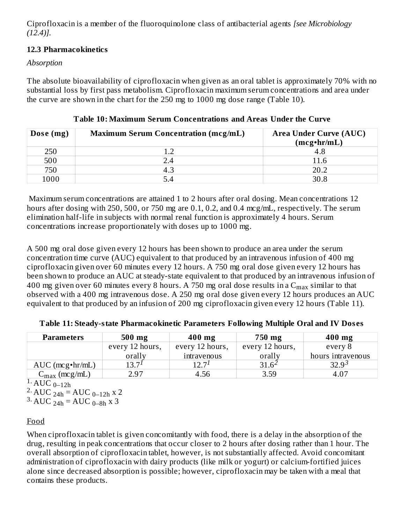Ciprofloxacin is a member of the fluoroquinolone class of antibacterial agents *[see Microbiology (12.4)].*

### **12.3 Pharmacokinetics**

### *Absorption*

The absolute bioavailability of ciprofloxacin when given as an oral tablet is approximately 70% with no substantial loss by first pass metabolism. Ciprofloxacin maximum serum concentrations and area under the curve are shown in the chart for the 250 mg to 1000 mg dose range (Table 10).

| Dose (mg) | <b>Maximum Serum Concentration (mcg/mL)</b> | <b>Area Under Curve (AUC)</b> |
|-----------|---------------------------------------------|-------------------------------|
|           |                                             | $(mcg\cdot hr/mL)$            |
| 250       |                                             |                               |
| 500       | . 4                                         | 11.6                          |
| 750       |                                             | 20.2                          |
| 1000      |                                             | 30.8                          |

**Table 10: Maximum Serum Concentrations and Areas Under the Curve**

Maximum serum concentrations are attained 1 to 2 hours after oral dosing. Mean concentrations 12 hours after dosing with 250, 500, or 750 mg are 0.1, 0.2, and 0.4 mcg/mL, respectively. The serum elimination half-life in subjects with normal renal function is approximately 4 hours. Serum concentrations increase proportionately with doses up to 1000 mg.

A 500 mg oral dose given every 12 hours has been shown to produce an area under the serum concentration time curve (AUC) equivalent to that produced by an intravenous infusion of 400 mg ciprofloxacin given over 60 minutes every 12 hours. A 750 mg oral dose given every 12 hours has been shown to produce an AUC at steady-state equivalent to that produced by an intravenous infusion of 400 mg given over 60 minutes every 8 hours. A 750 mg oral dose results in a  $\rm{C_{max}}$  similar to that observed with a 400 mg intravenous dose. A 250 mg oral dose given every 12 hours produces an AUC equivalent to that produced by an infusion of 200 mg ciprofloxacin given every 12 hours (Table 11).

| <b>Parameters</b>         | 500 mg          | $400$ mg        | 750 mg          | $400$ mg          |
|---------------------------|-----------------|-----------------|-----------------|-------------------|
|                           | every 12 hours, | every 12 hours, | every 12 hours, | every 8           |
|                           | orally          | intravenous     | orally          | hours intravenous |
| $AUC$ (mcg $\cdot$ hr/mL) | $13.7^1$        | 17 7 $1$        | $31.6^{\circ}$  | $32.9^{3}$        |
| $C_{\text{max}}$ (mcg/mL) | 2.97            | 4.56            | 3.59            | 4.07              |

**Table 11: Steady-state Pharmacokinetic Parameters Following Multiple Oral and IV Dos es**

 $\overline{1. \text{AUC}_{0-12h}}$ 

 $^{2}$  AUC  $_{24h}$  = AUC  $_{0-12h}$  x 2

 $3. \text{ AUC}_{24h} = \text{AUC}_{0-8h}$  x 3

### Food

When ciprofloxacin tablet is given concomitantly with food, there is a delay in the absorption of the drug, resulting in peak concentrations that occur closer to 2 hours after dosing rather than 1 hour. The overall absorption of ciprofloxacin tablet, however, is not substantially affected. Avoid concomitant administration of ciprofloxacin with dairy products (like milk or yogurt) or calcium-fortified juices alone since decreased absorption is possible; however, ciprofloxacin may be taken with a meal that contains these products.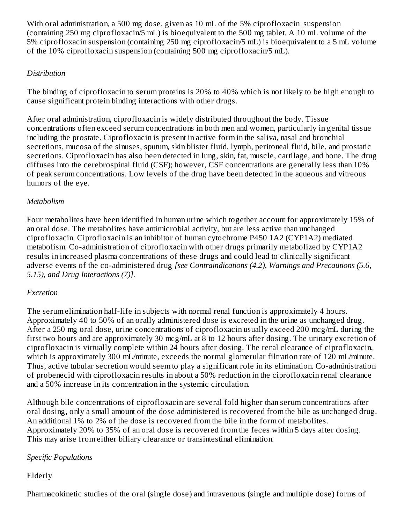With oral administration, a 500 mg dose, given as 10 mL of the 5% ciprofloxacin suspension (containing 250 mg ciprofloxacin/5 mL) is bioequivalent to the 500 mg tablet. A 10 mL volume of the 5% ciprofloxacin suspension (containing 250 mg ciprofloxacin/5 mL) is bioequivalent to a 5 mL volume of the 10% ciprofloxacin suspension (containing 500 mg ciprofloxacin/5 mL).

### *Distribution*

The binding of ciprofloxacin to serum proteins is 20% to 40% which is not likely to be high enough to cause significant protein binding interactions with other drugs.

After oral administration, ciprofloxacin is widely distributed throughout the body. Tissue concentrations often exceed serum concentrations in both men and women, particularly in genital tissue including the prostate. Ciprofloxacin is present in active form in the saliva, nasal and bronchial secretions, mucosa of the sinuses, sputum, skin blister fluid, lymph, peritoneal fluid, bile, and prostatic secretions. Ciprofloxacin has also been detected in lung, skin, fat, muscle, cartilage, and bone. The drug diffuses into the cerebrospinal fluid (CSF); however, CSF concentrations are generally less than 10% of peak serum concentrations. Low levels of the drug have been detected in the aqueous and vitreous humors of the eye.

### *Metabolism*

Four metabolites have been identified in human urine which together account for approximately 15% of an oral dose. The metabolites have antimicrobial activity, but are less active than unchanged ciprofloxacin. Ciprofloxacin is an inhibitor of human cytochrome P450 1A2 (CYP1A2) mediated metabolism. Co-administration of ciprofloxacin with other drugs primarily metabolized by CYP1A2 results in increased plasma concentrations of these drugs and could lead to clinically significant adverse events of the co-administered drug *[see Contraindications (4.2), Warnings and Precautions (5.6, 5.15), and Drug Interactions (7)].*

### *Excretion*

The serum elimination half-life in subjects with normal renal function is approximately 4 hours. Approximately 40 to 50% of an orally administered dose is excreted in the urine as unchanged drug. After a 250 mg oral dose, urine concentrations of ciprofloxacin usually exceed 200 mcg/mL during the first two hours and are approximately 30 mcg/mL at 8 to 12 hours after dosing. The urinary excretion of ciprofloxacin is virtually complete within 24 hours after dosing. The renal clearance of ciprofloxacin, which is approximately 300 mL/minute, exceeds the normal glomerular filtration rate of 120 mL/minute. Thus, active tubular secretion would seem to play a significant role in its elimination. Co-administration of probenecid with ciprofloxacin results in about a 50% reduction in the ciprofloxacin renal clearance and a 50% increase in its concentration in the systemic circulation.

Although bile concentrations of ciprofloxacin are several fold higher than serum concentrations after oral dosing, only a small amount of the dose administered is recovered from the bile as unchanged drug. An additional 1% to 2% of the dose is recovered from the bile in the form of metabolites. Approximately 20% to 35% of an oral dose is recovered from the feces within 5 days after dosing. This may arise from either biliary clearance or transintestinal elimination.

### *Specific Populations*

### Elderly

Pharmacokinetic studies of the oral (single dose) and intravenous (single and multiple dose) forms of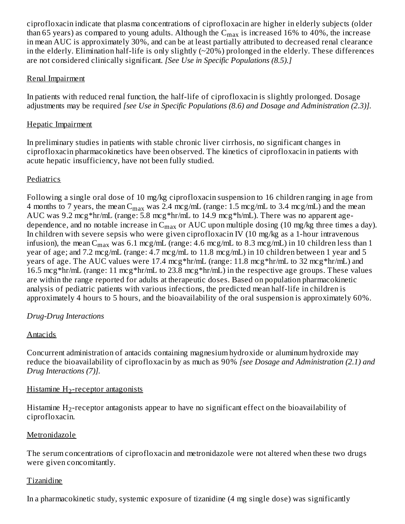ciprofloxacin indicate that plasma concentrations of ciprofloxacin are higher in elderly subjects (older than 65 years) as compared to young adults. Although the  $\rm{C_{max}}$  is increased 16% to 40%, the increase in mean AUC is approximately 30%, and can be at least partially attributed to decreased renal clearance in the elderly. Elimination half-life is only slightly  $(\sim 20\%)$  prolonged in the elderly. These differences are not considered clinically significant. *[See Use in Specific Populations (8.5).]*

#### Renal Impairment

In patients with reduced renal function, the half-life of ciprofloxacin is slightly prolonged. Dosage adjustments may be required *[see Use in Specific Populations (8.6) and Dosage and Administration (2.3)].*

### Hepatic Impairment

In preliminary studies in patients with stable chronic liver cirrhosis, no significant changes in ciprofloxacin pharmacokinetics have been observed. The kinetics of ciprofloxacin in patients with acute hepatic insufficiency, have not been fully studied.

### **Pediatrics**

Following a single oral dose of 10 mg/kg ciprofloxacin suspension to 16 children ranging in age from 4 months to 7 years, the mean  $C_{max}$  was 2.4 mcg/mL (range: 1.5 mcg/mL to 3.4 mcg/mL) and the mean AUC was 9.2 mcg\*hr/mL (range: 5.8 mcg\*hr/mL to 14.9 mcg\*h/mL). There was no apparent agedependence, and no notable increase in  $\mathsf{C}_{\max}$  or  $\mathsf{AUC}$  upon multiple dosing (10 mg/kg three times a day). In children with severe sepsis who were given ciprofloxacin IV (10 mg/kg as a 1-hour intravenous infusion), the mean  $\rm{C_{max}}$  was 6.1 mcg/mL (range: 4.6 mcg/mL to 8.3 mcg/mL) in 10 children less than 1 year of age; and 7.2 mcg/mL (range: 4.7 mcg/mL to 11.8 mcg/mL) in 10 children between 1 year and 5 years of age. The AUC values were 17.4 mcg\*hr/mL (range: 11.8 mcg\*hr/mL to 32 mcg\*hr/mL) and 16.5 mcg\*hr/mL (range: 11 mcg\*hr/mL to 23.8 mcg\*hr/mL) in the respective age groups. These values are within the range reported for adults at therapeutic doses. Based on population pharmacokinetic analysis of pediatric patients with various infections, the predicted mean half-life in children is approximately 4 hours to 5 hours, and the bioavailability of the oral suspension is approximately 60%.

### *Drug-Drug Interactions*

### **Antacids**

Concurrent administration of antacids containing magnesium hydroxide or aluminum hydroxide may reduce the bioavailability of ciprofloxacin by as much as 90% *[see Dosage and Administration (2.1) and Drug Interactions (7)].*

### <u>Histamine H2-receptor antagonists</u>

Histamine  $\rm{H}_{2}$ -receptor antagonists appear to have no significant effect on the bioavailability of ciprofloxacin.

### Metronidazole

The serum concentrations of ciprofloxacin and metronidazole were not altered when these two drugs were given concomitantly.

#### Tizanidine

In a pharmacokinetic study, systemic exposure of tizanidine (4 mg single dose) was significantly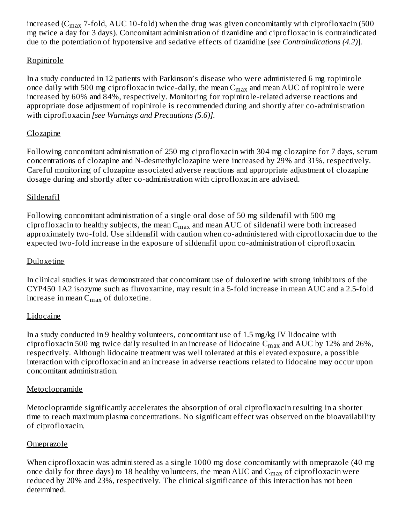increased (C $_{\rm max}$  7-fold, AUC 10-fold) when the drug was given concomitantly with ciprofloxacin (500 mg twice a day for 3 days). Concomitant administration of tizanidine and ciprofloxacin is contraindicated due to the potentiation of hypotensive and sedative effects of tizanidine [*see Contraindications (4.2)*].

#### Ropinirole

In a study conducted in 12 patients with Parkinson's disease who were administered 6 mg ropinirole once daily with 500 mg ciprofloxacin twice-daily, the mean  $\rm{C_{max}}$  and mean  $\rm{AUC}$  of ropinirole were increased by 60% and 84%, respectively. Monitoring for ropinirole-related adverse reactions and appropriate dose adjustment of ropinirole is recommended during and shortly after co-administration with ciprofloxacin *[see Warnings and Precautions (5.6)].*

### Clozapine

Following concomitant administration of 250 mg ciprofloxacin with 304 mg clozapine for 7 days, serum concentrations of clozapine and N-desmethylclozapine were increased by 29% and 31%, respectively. Careful monitoring of clozapine associated adverse reactions and appropriate adjustment of clozapine dosage during and shortly after co-administration with ciprofloxacin are advised.

### Sildenafil

Following concomitant administration of a single oral dose of 50 mg sildenafil with 500 mg ciprofloxacin to healthy subjects, the mean  $\mathsf{C}_{\max}$  and mean  $\mathsf{AUC}$  of sildenafil were both increased approximately two-fold. Use sildenafil with caution when co-administered with ciprofloxacin due to the expected two-fold increase in the exposure of sildenafil upon co-administration of ciprofloxacin.

#### Duloxetine

In clinical studies it was demonstrated that concomitant use of duloxetine with strong inhibitors of the CYP450 1A2 isozyme such as fluvoxamine, may result in a 5-fold increase in mean AUC and a 2.5-fold increase in mean  $\mathsf{C}_{\max}$  of duloxetine.

### **Lidocaine**

In a study conducted in 9 healthy volunteers, concomitant use of 1.5 mg/kg IV lidocaine with ciprofloxacin 500 mg twice daily resulted in an increase of lidocaine  $\rm C_{max}$  and  $\rm AUC$  by 12% and 26%, respectively. Although lidocaine treatment was well tolerated at this elevated exposure, a possible interaction with ciprofloxacin and an increase in adverse reactions related to lidocaine may occur upon concomitant administration.

### **Metoclopramide**

Metoclopramide significantly accelerates the absorption of oral ciprofloxacin resulting in a shorter time to reach maximum plasma concentrations. No significant effect was observed on the bioavailability of ciprofloxacin.

### **Omeprazole**

When ciprofloxacin was administered as a single 1000 mg dose concomitantly with omeprazole (40 mg once daily for three days) to 18 healthy volunteers, the mean AUC and  $\rm C_{max}$  of ciprofloxacin were reduced by 20% and 23%, respectively. The clinical significance of this interaction has not been determined.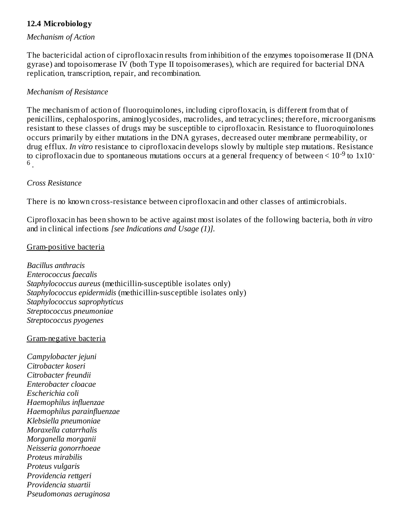### **12.4 Microbiology**

#### *Mechanism of Action*

The bactericidal action of ciprofloxacin results from inhibition of the enzymes topoisomerase II (DNA gyrase) and topoisomerase IV (both Type II topoisomerases), which are required for bacterial DNA replication, transcription, repair, and recombination.

#### *Mechanism of Resistance*

The mechanism of action of fluoroquinolones, including ciprofloxacin, is different from that of penicillins, cephalosporins, aminoglycosides, macrolides, and tetracyclines; therefore, microorganisms resistant to these classes of drugs may be susceptible to ciprofloxacin. Resistance to fluoroquinolones occurs primarily by either mutations in the DNA gyrases, decreased outer membrane permeability, or drug efflux. *In vitro* resistance to ciprofloxacin develops slowly by multiple step mutations. Resistance to ciprofloxacin due to spontaneous mutations occurs at a general frequency of between  $\leq 10^{-9}$  to  $1x10^{-7}$ . 6

#### *Cross Resistance*

There is no known cross-resistance between ciprofloxacin and other classes of antimicrobials.

Ciprofloxacin has been shown to be active against most isolates of the following bacteria, both *in vitro* and in clinical infections *[see Indications and Usage (1)].*

#### Gram-positive bacteria

*Bacillus anthracis Enterococcus faecalis Staphylococcus aureus* (methicillin-susceptible isolates only) *Staphylococcus epidermidis* (methicillin-susceptible isolates only) *Staphylococcus saprophyticus Streptococcus pneumoniae Streptococcus pyogenes*

#### Gram-negative bacteria

*Campylobacter jejuni Citrobacter koseri Citrobacter freundii Enterobacter cloacae Escherichia coli Haemophilus influenzae Haemophilus parainfluenzae Klebsiella pneumoniae Moraxella catarrhalis Morganella morganii Neisseria gonorrhoeae Proteus mirabilis Proteus vulgaris Providencia rettgeri Providencia stuartii Pseudomonas aeruginosa*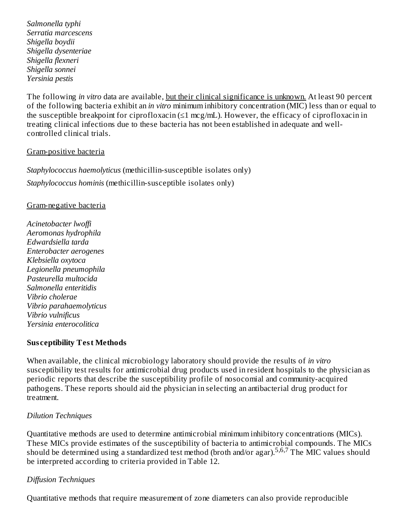*Salmonella typhi Serratia marcescens Shigella boydii Shigella dysenteriae Shigella flexneri Shigella sonnei Yersinia pestis*

The following *in vitro* data are available, but their clinical significance is unknown. At least 90 percent of the following bacteria exhibit an *in vitro* minimum inhibitory concentration (MIC) less than or equal to the susceptible breakpoint for ciprofloxacin (≤1 mcg/mL). However, the efficacy of ciprofloxacin in treating clinical infections due to these bacteria has not been established in adequate and wellcontrolled clinical trials.

#### Gram-positive bacteria

*Staphylococcus haemolyticus* (methicillin-susceptible isolates only) *Staphylococcus hominis* (methicillin-susceptible isolates only)

#### Gram-negative bacteria

*Acinetobacter lwoffi Aeromonas hydrophila Edwardsiella tarda Enterobacter aerogenes Klebsiella oxytoca Legionella pneumophila Pasteurella multocida Salmonella enteritidis Vibrio cholerae Vibrio parahaemolyticus Vibrio vulnificus Yersinia enterocolitica*

#### **Sus ceptibility Test Methods**

When available, the clinical microbiology laboratory should provide the results of *in vitro* susceptibility test results for antimicrobial drug products used in resident hospitals to the physician as periodic reports that describe the susceptibility profile of nosocomial and community-acquired pathogens. These reports should aid the physician in selecting an antibacterial drug product for treatment.

#### *Dilution Techniques*

Quantitative methods are used to determine antimicrobial minimum inhibitory concentrations (MICs). These MICs provide estimates of the susceptibility of bacteria to antimicrobial compounds. The MICs should be determined using a standardized test method (broth and/or agar).<sup>5,6,7</sup> The MIC values should be interpreted according to criteria provided in Table 12.

#### *Diffusion Techniques*

Quantitative methods that require measurement of zone diameters can also provide reproducible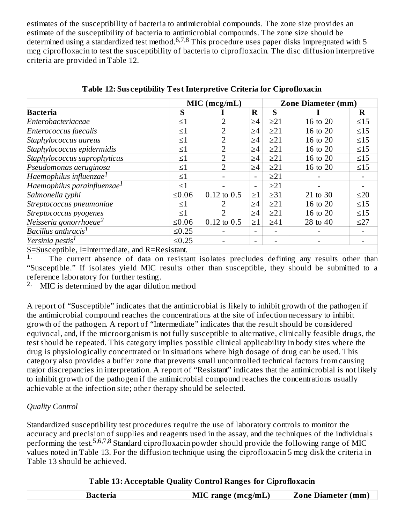estimates of the susceptibility of bacteria to antimicrobial compounds. The zone size provides an estimate of the susceptibility of bacteria to antimicrobial compounds. The zone size should be determined using a standardized test method.  $6,7,8$  This procedure uses paper disks impregnated with 5 mcg ciprofloxacin to test the susceptibility of bacteria to ciprofloxacin. The disc diffusion interpretive criteria are provided in Table 12.

|                                                 |             | $MIC$ (mcg/mL)  |                          |           | <b>Zone Diameter (mm)</b> |           |
|-------------------------------------------------|-------------|-----------------|--------------------------|-----------|---------------------------|-----------|
| <b>Bacteria</b>                                 | S           |                 | $\bf R$                  | S         |                           | $\bf R$   |
| Enterobacteriaceae                              | $\leq 1$    | $\overline{2}$  | $\geq 4$                 | $\geq$ 21 | 16 to 20                  | $\leq15$  |
| Enterococcus faecalis                           | $\leq1$     | 2               | ≥4                       | $\geq$ 21 | 16 to 20                  | $\leq 15$ |
| Staphylococcus aureus                           | $\leq1$     | $\overline{2}$  | $\geq$ 4                 | $\geq$ 21 | 16 to 20                  | $\leq 15$ |
| Staphylococcus epidermidis                      | $\leq1$     | $\overline{2}$  | $\geq$ 4                 | $\geq$ 21 | 16 to 20                  | $\leq 15$ |
| Staphylococcus saprophyticus                    | $\leq 1$    | $\overline{2}$  | $\geq 4$                 | $\geq$ 21 | 16 to 20                  | $\leq15$  |
| Pseudomonas aeruginosa                          | $\leq 1$    | $\overline{2}$  | $\geq 4$                 | $\geq$ 21 | 16 to 20                  | $\leq 15$ |
| Haemophilus influenzae $^1$                     | $\leq1$     |                 | $\blacksquare$           | $\geq$ 21 |                           |           |
| Haemophilus parainfluenzae $^1$                 | $\leq1$     |                 | $\overline{\phantom{0}}$ | $\geq$ 21 |                           |           |
| Salmonella typhi                                | $≤0.06$     | $0.12$ to $0.5$ | $\geq1$                  | $\geq 31$ | 21 to 30                  | $\leq$ 20 |
| Streptococcus pneumoniae                        | $\leq1$     |                 | $\geq 4$                 | $\geq$ 21 | 16 to 20                  | $\leq15$  |
| Streptococcus pyogenes                          | $\leq1$     |                 | $\geq 4$                 | $\geq$ 21 | 16 to 20                  | $\leq 15$ |
| Neisseria gonorrhoeae $^2$                      | $≤0.06$     | $0.12$ to $0.5$ | $\geq$ 1                 | $\geq 41$ | 28 to 40                  | $\leq$ 27 |
| Bacillus anthracis <sup>1</sup>                 | $≤0.25$     |                 | ۰                        |           |                           |           |
| Yersinia pestis <sup>1</sup>                    | $\leq 0.25$ |                 | ۰                        |           |                           |           |
| S=Susceptible, I=Intermediate, and R=Resistant. |             |                 |                          |           |                           |           |

**Table 12: Sus ceptibility Test Interpretive Criteria for Ciprofloxacin**

The current absence of data on resistant isolates precludes defining any results other than "Susceptible." If isolates yield MIC results other than susceptible, they should be submitted to a reference laboratory for further testing. 1.

MIC is determined by the agar dilution method 2.

A report of "Susceptible" indicates that the antimicrobial is likely to inhibit growth of the pathogen if the antimicrobial compound reaches the concentrations at the site of infection necessary to inhibit growth of the pathogen. A report of "Intermediate" indicates that the result should be considered equivocal, and, if the microorganism is not fully susceptible to alternative, clinically feasible drugs, the test should be repeated. This category implies possible clinical applicability in body sites where the drug is physiologically concentrated or in situations where high dosage of drug can be used. This category also provides a buffer zone that prevents small uncontrolled technical factors from causing major discrepancies in interpretation. A report of "Resistant" indicates that the antimicrobial is not likely to inhibit growth of the pathogen if the antimicrobial compound reaches the concentrations usually achievable at the infection site; other therapy should be selected.

#### *Quality Control*

Standardized susceptibility test procedures require the use of laboratory controls to monitor the accuracy and precision of supplies and reagents used in the assay, and the techniques of the individuals performing the test.<sup>5,6,7,8</sup> Standard ciprofloxacin powder should provide the following range of MIC values noted in Table 13. For the diffusion technique using the ciprofloxacin 5 mcg disk the criteria in Table 13 should be achieved.

#### **Table 13: Acceptable Quality Control Ranges for Ciprofloxacin**

| Bacteria | $MIC$ range (mcg/mL) | <b>Zone Diameter (mm)</b> |
|----------|----------------------|---------------------------|
|          |                      |                           |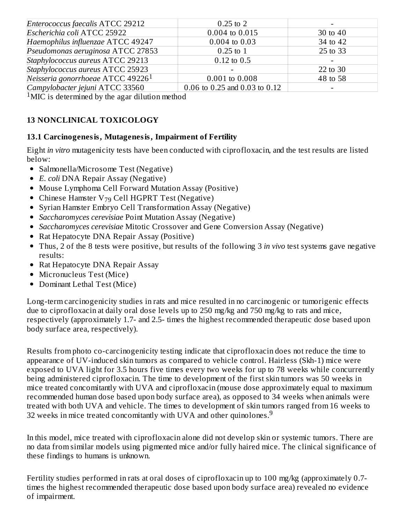| Enterococcus faecalis ATCC 29212              | $0.25 \text{ to } 2$          |          |
|-----------------------------------------------|-------------------------------|----------|
| Escherichia coli ATCC 25922                   | 0.004 to 0.015                | 30 to 40 |
| Haemophilus influenzae ATCC 49247             | $0.004$ to $0.03$             | 34 to 42 |
| Pseudomonas aeruginosa ATCC 27853             | $0.25 \text{ to } 1$          | 25 to 33 |
| Staphylococcus aureus ATCC 29213              | $0.12$ to $0.5$               |          |
| Staphylococcus aureus ATCC 25923              |                               | 22 to 30 |
| Neisseria gonorrhoeae ATCC 49226 <sup>1</sup> | 0.001 to 0.008                | 48 to 58 |
| Campylobacter jejuni ATCC 33560               | 0.06 to 0.25 and 0.03 to 0.12 |          |

<sup>1</sup>MIC is determined by the agar dilution method

### **13 NONCLINICAL TOXICOLOGY**

### **13.1 Carcinogenesis, Mutagenesis, Impairment of Fertility**

Eight *in vitro* mutagenicity tests have been conducted with ciprofloxacin, and the test results are listed below:

- Salmonella/Microsome Test (Negative)
- *E. coli* DNA Repair Assay (Negative)
- Mouse Lymphoma Cell Forward Mutation Assay (Positive)
- Chinese Hamster  $V_{79}$  Cell HGPRT Test (Negative)
- Syrian Hamster Embryo Cell Transformation Assay (Negative)
- *Saccharomyces cerevisiae* Point Mutation Assay (Negative)
- *Saccharomyces cerevisiae* Mitotic Crossover and Gene Conversion Assay (Negative)
- Rat Hepatocyte DNA Repair Assay (Positive)
- Thus, 2 of the 8 tests were positive, but results of the following 3 *in vivo* test systems gave negative results:
- Rat Hepatocyte DNA Repair Assay
- Micronucleus Test (Mice)
- Dominant Lethal Test (Mice)

Long-term carcinogenicity studies in rats and mice resulted in no carcinogenic or tumorigenic effects due to ciprofloxacin at daily oral dose levels up to 250 mg/kg and 750 mg/kg to rats and mice, respectively (approximately 1.7- and 2.5- times the highest recommended therapeutic dose based upon body surface area, respectively).

Results from photo co-carcinogenicity testing indicate that ciprofloxacin does not reduce the time to appearance of UV-induced skin tumors as compared to vehicle control. Hairless (Skh-1) mice were exposed to UVA light for 3.5 hours five times every two weeks for up to 78 weeks while concurrently being administered ciprofloxacin. The time to development of the first skin tumors was 50 weeks in mice treated concomitantly with UVA and ciprofloxacin (mouse dose approximately equal to maximum recommended human dose based upon body surface area), as opposed to 34 weeks when animals were treated with both UVA and vehicle. The times to development of skin tumors ranged from 16 weeks to 32 weeks in mice treated concomitantly with UVA and other quinolones. $9$ 

In this model, mice treated with ciprofloxacin alone did not develop skin or systemic tumors. There are no data from similar models using pigmented mice and/or fully haired mice. The clinical significance of these findings to humans is unknown.

Fertility studies performed in rats at oral doses of ciprofloxacin up to 100 mg/kg (approximately 0.7 times the highest recommended therapeutic dose based upon body surface area) revealed no evidence of impairment.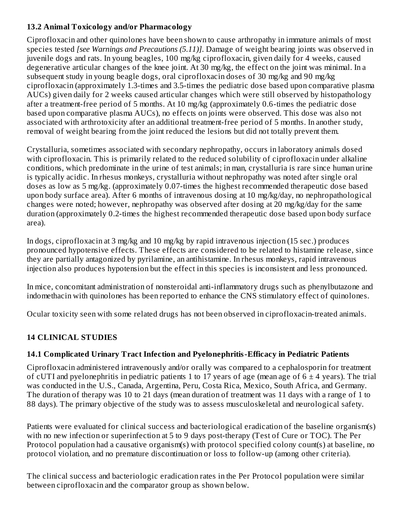### **13.2 Animal Toxicology and/or Pharmacology**

Ciprofloxacin and other quinolones have been shown to cause arthropathy in immature animals of most species tested *[see Warnings and Precautions (5.11)]*. Damage of weight bearing joints was observed in juvenile dogs and rats. In young beagles, 100 mg/kg ciprofloxacin, given daily for 4 weeks, caused degenerative articular changes of the knee joint. At 30 mg/kg, the effect on the joint was minimal. In a subsequent study in young beagle dogs, oral ciprofloxacin doses of 30 mg/kg and 90 mg/kg ciprofloxacin (approximately 1.3-times and 3.5-times the pediatric dose based upon comparative plasma AUCs) given daily for 2 weeks caused articular changes which were still observed by histopathology after a treatment-free period of 5 months. At 10 mg/kg (approximately 0.6-times the pediatric dose based upon comparative plasma AUCs), no effects on joints were observed. This dose was also not associated with arthrotoxicity after an additional treatment-free period of 5 months. In another study, removal of weight bearing from the joint reduced the lesions but did not totally prevent them.

Crystalluria, sometimes associated with secondary nephropathy, occurs in laboratory animals dosed with ciprofloxacin. This is primarily related to the reduced solubility of ciprofloxacin under alkaline conditions, which predominate in the urine of test animals; in man, crystalluria is rare since human urine is typically acidic. In rhesus monkeys, crystalluria without nephropathy was noted after single oral doses as low as 5 mg/kg. (approximately 0.07-times the highest recommended therapeutic dose based upon body surface area). After 6 months of intravenous dosing at 10 mg/kg/day, no nephropathological changes were noted; however, nephropathy was observed after dosing at 20 mg/kg/day for the same duration (approximately 0.2-times the highest recommended therapeutic dose based upon body surface area).

In dogs, ciprofloxacin at 3 mg/kg and 10 mg/kg by rapid intravenous injection (15 sec.) produces pronounced hypotensive effects. These effects are considered to be related to histamine release, since they are partially antagonized by pyrilamine, an antihistamine. In rhesus monkeys, rapid intravenous injection also produces hypotension but the effect in this species is inconsistent and less pronounced.

In mice, concomitant administration of nonsteroidal anti-inflammatory drugs such as phenylbutazone and indomethacin with quinolones has been reported to enhance the CNS stimulatory effect of quinolones.

Ocular toxicity seen with some related drugs has not been observed in ciprofloxacin-treated animals.

## **14 CLINICAL STUDIES**

### **14.1 Complicated Urinary Tract Infection and Pyelonephritis-Efficacy in Pediatric Patients**

Ciprofloxacin administered intravenously and/or orally was compared to a cephalosporin for treatment of cUTI and pyelonephritis in pediatric patients 1 to 17 years of age (mean age of  $6 \pm 4$  years). The trial was conducted in the U.S., Canada, Argentina, Peru, Costa Rica, Mexico, South Africa, and Germany. The duration of therapy was 10 to 21 days (mean duration of treatment was 11 days with a range of 1 to 88 days). The primary objective of the study was to assess musculoskeletal and neurological safety.

Patients were evaluated for clinical success and bacteriological eradication of the baseline organism(s) with no new infection or superinfection at 5 to 9 days post-therapy (Test of Cure or TOC). The Per Protocol population had a causative organism(s) with protocol specified colony count(s) at baseline, no protocol violation, and no premature discontinuation or loss to follow-up (among other criteria).

The clinical success and bacteriologic eradication rates in the Per Protocol population were similar between ciprofloxacin and the comparator group as shown below.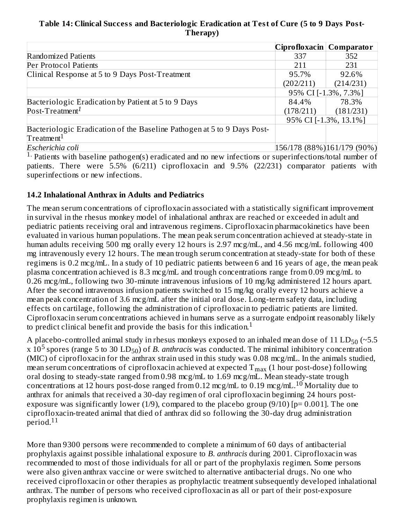### **Table 14: Clinical Success and Bacteriologic Eradication at Test of Cure (5 to 9 Days Post-Therapy)**

|                                                                         | Ciprofloxacin   Comparator |                             |  |
|-------------------------------------------------------------------------|----------------------------|-----------------------------|--|
| Randomized Patients                                                     | 337                        | 352                         |  |
| Per Protocol Patients                                                   | 211                        | 231                         |  |
| Clinical Response at 5 to 9 Days Post-Treatment                         | 95.7%                      | 92.6%                       |  |
|                                                                         | (202/211)                  | (214/231)                   |  |
|                                                                         | 95% CI [-1.3%, 7.3%]       |                             |  |
| Bacteriologic Eradication by Patient at 5 to 9 Days                     | 84.4%                      | 78.3%                       |  |
| Post-Treatment <sup>1</sup>                                             | (178/211)                  | (181/231)                   |  |
|                                                                         | 95% CI [-1.3%, 13.1%]      |                             |  |
| Bacteriologic Eradication of the Baseline Pathogen at 5 to 9 Days Post- |                            |                             |  |
| $T$ reatment $1$                                                        |                            |                             |  |
| Escherichia coli                                                        |                            | 156/178 (88%) 161/179 (90%) |  |

<sup>1.</sup> Patients with baseline pathogen(s) eradicated and no new infections or superinfections/total number of patients. There were 5.5% (6/211) ciprofloxacin and 9.5% (22/231) comparator patients with superinfections or new infections.

### **14.2 Inhalational Anthrax in Adults and Pediatrics**

The mean serum concentrations of ciprofloxacin associated with a statistically significant improvement in survival in the rhesus monkey model of inhalational anthrax are reached or exceeded in adult and pediatric patients receiving oral and intravenous regimens. Ciprofloxacin pharmacokinetics have been evaluated in various human populations. The mean peak serum concentration achieved at steady-state in human adults receiving 500 mg orally every 12 hours is 2.97 mcg/mL, and 4.56 mcg/mL following 400 mg intravenously every 12 hours. The mean trough serum concentration at steady-state for both of these regimens is 0.2 mcg/mL. In a study of 10 pediatric patients between 6 and 16 years of age, the mean peak plasma concentration achieved is 8.3 mcg/mL and trough concentrations range from 0.09 mcg/mL to 0.26 mcg/mL, following two 30-minute intravenous infusions of 10 mg/kg administered 12 hours apart. After the second intravenous infusion patients switched to 15 mg/kg orally every 12 hours achieve a mean peak concentration of 3.6 mcg/mL after the initial oral dose. Long-term safety data, including effects on cartilage, following the administration of ciprofloxacin to pediatric patients are limited. Ciprofloxacin serum concentrations achieved in humans serve as a surrogate endpoint reasonably likely to predict clinical benefit and provide the basis for this indication.<sup>1</sup>

A placebo-controlled animal study in rhesus monkeys exposed to an inhaled mean dose of  $11$   $LD_{50}$  (~5.5  $\rm x$   $\rm 10^5$  spores (range 5 to 30 LD<sub>50</sub>) of *B. anthracis* was conducted. The minimal inhibitory concentration (MIC) of ciprofloxacin for the anthrax strain used in this study was 0.08 mcg/mL. In the animals studied, mean serum concentrations of ciprofloxacin achieved at expected  $\rm T_{max}$  (1 hour post-dose) following oral dosing to steady-state ranged from 0.98 mcg/mL to 1.69 mcg/mL. Mean steady-state trough concentrations at 12 hours post-dose ranged from 0.12 mcg/mL to 0.19 mcg/mL.<sup>10</sup> Mortality due to anthrax for animals that received a 30-day regimen of oral ciprofloxacin beginning 24 hours postexposure was significantly lower (1/9), compared to the placebo group (9/10)  $[p= 0.001]$ . The one ciprofloxacin-treated animal that died of anthrax did so following the 30-day drug administration period. 11

More than 9300 persons were recommended to complete a minimum of 60 days of antibacterial prophylaxis against possible inhalational exposure to *B. anthracis* during 2001. Ciprofloxacin was recommended to most of those individuals for all or part of the prophylaxis regimen. Some persons were also given anthrax vaccine or were switched to alternative antibacterial drugs. No one who received ciprofloxacin or other therapies as prophylactic treatment subsequently developed inhalational anthrax. The number of persons who received ciprofloxacin as all or part of their post-exposure prophylaxis regimen is unknown.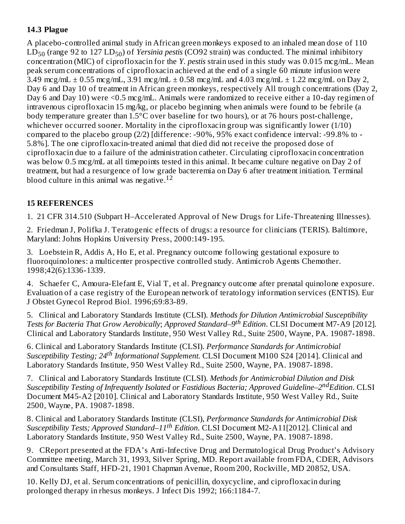### **14.3 Plague**

A placebo-controlled animal study in African green monkeys exposed to an inhaled mean dose of 110 LD<sub>50</sub> (range 92 to 127 LD<sub>50</sub>) of *Yersinia pestis* (CO92 strain) was conducted. The minimal inhibitory concentration (MIC) of ciprofloxacin for the *Y. pestis* strain used in this study was 0.015 mcg/mL. Mean peak serum concentrations of ciprofloxacin achieved at the end of a single 60 minute infusion were 3.49 mcg/mL  $\pm$  0.55 mcg/mL, 3.91 mcg/mL  $\pm$  0.58 mcg/mL and 4.03 mcg/mL  $\pm$  1.22 mcg/mL on Day 2, Day 6 and Day 10 of treatment in African green monkeys, respectively All trough concentrations (Day 2, Day 6 and Day 10) were <0.5 mcg/mL. Animals were randomized to receive either a 10-day regimen of intravenous ciprofloxacin 15 mg/kg, or placebo beginning when animals were found to be febrile (a body temperature greater than 1.5°C over baseline for two hours), or at 76 hours post-challenge, whichever occurred sooner. Mortality in the ciprofloxacin group was significantly lower (1/10) compared to the placebo group (2/2) [difference: -90%, 95% exact confidence interval: -99.8% to - 5.8%]. The one ciprofloxacin-treated animal that died did not receive the proposed dose of ciprofloxacin due to a failure of the administration catheter. Circulating ciprofloxacin concentration was below 0.5 mcg/mL at all timepoints tested in this animal. It became culture negative on Day 2 of treatment, but had a resurgence of low grade bacteremia on Day 6 after treatment initiation. Terminal blood culture in this animal was negative. $12$ 

### **15 REFERENCES**

1. 21 CFR 314.510 (Subpart H–Accelerated Approval of New Drugs for Life-Threatening Illnesses).

2. Friedman J, Polifka J. Teratogenic effects of drugs: a resource for clinicians (TERIS). Baltimore, Maryland: Johns Hopkins University Press, 2000:149-195.

3. Loebstein R, Addis A, Ho E, et al. Pregnancy outcome following gestational exposure to fluoroquinolones: a multicenter prospective controlled study. Antimicrob Agents Chemother. 1998;42(6):1336-1339.

4. Schaefer C, Amoura-Elefant E, Vial T, et al. Pregnancy outcome after prenatal quinolone exposure. Evaluation of a case registry of the European network of teratology information services (ENTIS). Eur J Obstet Gynecol Reprod Biol. 1996;69:83-89.

5. Clinical and Laboratory Standards Institute (CLSI). *Methods for Dilution Antimicrobial Susceptibility Tests for Bacteria That Grow Aerobically*; *Approved Standard–9 Edition*. CLSI Document M7-A9 [2012]. *th* Clinical and Laboratory Standards Institute, 950 West Valley Rd., Suite 2500, Wayne, PA. 19087-1898.

6. Clinical and Laboratory Standards Institute (CLSI). *Performance Standards for Antimicrobial* Susceptibility Testing; 24<sup>th</sup> Informational Supplement. CLSI Document M100 S24 [2014]. Clinical and Laboratory Standards Institute, 950 West Valley Rd., Suite 2500, Wayne, PA. 19087-1898.

7. Clinical and Laboratory Standards Institute (CLSI). *Methods for Antimicrobial Dilution and Disk Susceptibility Testing of Infrequently Isolated or Fastidious Bacteria; Approved Guideline–2 Edition*. CLSI *nd* Document M45-A2 [2010]. Clinical and Laboratory Standards Institute, 950 West Valley Rd., Suite 2500, Wayne, PA. 19087-1898.

8. Clinical and Laboratory Standards Institute (CLSI), *Performance Standards for Antimicrobial Disk Susceptibility Tests; Approved Standard–11 Edition*. CLSI Document M2-A11[2012]. Clinical and *th*Laboratory Standards Institute, 950 West Valley Rd., Suite 2500, Wayne, PA. 19087-1898.

9. CReport presented at the FDA's Anti-Infective Drug and Dermatological Drug Product's Advisory Committee meeting, March 31, 1993, Silver Spring, MD. Report available from FDA, CDER, Advisors and Consultants Staff, HFD-21, 1901 Chapman Avenue, Room 200, Rockville, MD 20852, USA.

10. Kelly DJ, et al. Serum concentrations of penicillin, doxycycline, and ciprofloxacin during prolonged therapy in rhesus monkeys. J Infect Dis 1992; 166:1184-7.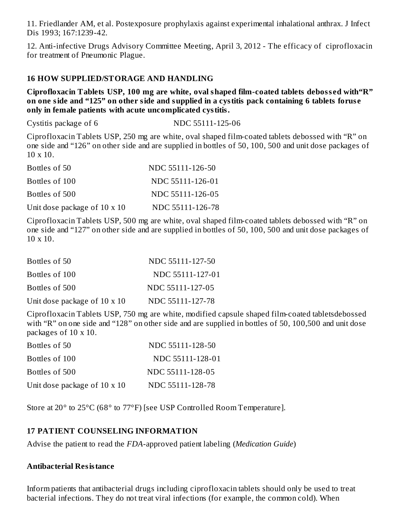11. Friedlander AM, et al. Postexposure prophylaxis against experimental inhalational anthrax. J Infect Dis 1993; 167:1239-42.

12. Anti-infective Drugs Advisory Committee Meeting, April 3, 2012 - The efficacy of ciprofloxacin for treatment of Pneumonic Plague.

#### **16 HOW SUPPLIED/STORAGE AND HANDLING**

**Ciprofloxacin Tablets USP, 100 mg are white, oval shaped film-coated tablets deboss ed with"R"** on one side and "125" on other side and supplied in a cystitis pack containing 6 tablets foruse **only in female patients with acute uncomplicated cystitis.**

Cystitis package of 6 NDC 55111-125-06

Ciprofloxacin Tablets USP, 250 mg are white, oval shaped film-coated tablets debossed with "R" on one side and "126" on other side and are supplied in bottles of 50, 100, 500 and unit dose packages of 10 x 10.

| Bottles of 50                       | NDC 55111-126-50 |
|-------------------------------------|------------------|
| Bottles of 100                      | NDC 55111-126-01 |
| Bottles of 500                      | NDC 55111-126-05 |
| Unit dose package of $10 \times 10$ | NDC 55111-126-78 |

Ciprofloxacin Tablets USP, 500 mg are white, oval shaped film-coated tablets debossed with "R" on one side and "127" on other side and are supplied in bottles of 50, 100, 500 and unit dose packages of 10 x 10.

| Bottles of 50                | NDC 55111-127-50 |
|------------------------------|------------------|
| Bottles of 100               | NDC 55111-127-01 |
| Bottles of 500               | NDC 55111-127-05 |
| Unit dose package of 10 x 10 | NDC 55111-127-78 |

Ciprofloxacin Tablets USP, 750 mg are white, modified capsule shaped film-coated tabletsdebossed with "R" on one side and "128" on other side and are supplied in bottles of 50, 100,500 and unit dose packages of 10 x 10.

| Bottles of 50                | NDC 55111-128-50 |
|------------------------------|------------------|
| Bottles of 100               | NDC 55111-128-01 |
| Bottles of 500               | NDC 55111-128-05 |
| Unit dose package of 10 x 10 | NDC 55111-128-78 |

Store at 20° to 25°C (68° to 77°F) [see USP Controlled Room Temperature].

#### **17 PATIENT COUNSELING INFORMATION**

Advise the patient to read the *FDA*-approved patient labeling (*Medication Guide*)

#### **Antibacterial Resistance**

Inform patients that antibacterial drugs including ciprofloxacin tablets should only be used to treat bacterial infections. They do not treat viral infections (for example, the common cold). When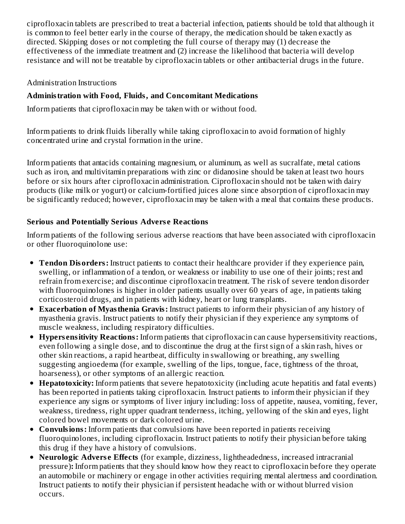ciprofloxacin tablets are prescribed to treat a bacterial infection, patients should be told that although it is common to feel better early in the course of therapy, the medication should be taken exactly as directed. Skipping doses or not completing the full course of therapy may (1) decrease the effectiveness of the immediate treatment and (2) increase the likelihood that bacteria will develop resistance and will not be treatable by ciprofloxacin tablets or other antibacterial drugs in the future.

#### Administration Instructions

### **Administration with Food, Fluids, and Concomitant Medications**

Inform patients that ciprofloxacin may be taken with or without food.

Inform patients to drink fluids liberally while taking ciprofloxacin to avoid formation of highly concentrated urine and crystal formation in the urine.

Inform patients that antacids containing magnesium, or aluminum, as well as sucralfate, metal cations such as iron, and multivitamin preparations with zinc or didanosine should be taken at least two hours before or six hours after ciprofloxacin administration. Ciprofloxacin should not be taken with dairy products (like milk or yogurt) or calcium-fortified juices alone since absorption of ciprofloxacin may be significantly reduced; however, ciprofloxacin may be taken with a meal that contains these products.

### **Serious and Potentially Serious Advers e Reactions**

Inform patients of the following serious adverse reactions that have been associated with ciprofloxacin or other fluoroquinolone use:

- **Tendon Disorders:** Instruct patients to contact their healthcare provider if they experience pain, swelling, or inflammation of a tendon, or weakness or inability to use one of their joints; rest and refrain from exercise; and discontinue ciprofloxacin treatment. The risk of severe tendon disorder with fluoroquinolones is higher in older patients usually over 60 years of age, in patients taking corticosteroid drugs, and in patients with kidney, heart or lung transplants.
- **Exacerbation of Myasthenia Gravis:** Instruct patients to inform their physician of any history of myasthenia gravis. Instruct patients to notify their physician if they experience any symptoms of muscle weakness, including respiratory difficulties.
- **Hypers ensitivity Reactions:** Inform patients that ciprofloxacin can cause hypersensitivity reactions, even following a single dose, and to discontinue the drug at the first sign of a skin rash, hives or other skin reactions, a rapid heartbeat, difficulty in swallowing or breathing, any swelling suggesting angioedema (for example, swelling of the lips, tongue, face, tightness of the throat, hoarseness), or other symptoms of an allergic reaction.
- **Hepatotoxicity:** Inform patients that severe hepatotoxicity (including acute hepatitis and fatal events) has been reported in patients taking ciprofloxacin. Instruct patients to inform their physician if they experience any signs or symptoms of liver injury including: loss of appetite, nausea, vomiting, fever, weakness, tiredness, right upper quadrant tenderness, itching, yellowing of the skin and eyes, light colored bowel movements or dark colored urine.
- **Convulsions:** Inform patients that convulsions have been reported in patients receiving fluoroquinolones, including ciprofloxacin. Instruct patients to notify their physician before taking this drug if they have a history of convulsions.
- **Neurologic Adverse Effects** (for example, dizziness, lightheadedness, increased intracranial pressure)**:** Inform patients that they should know how they react to ciprofloxacin before they operate an automobile or machinery or engage in other activities requiring mental alertness and coordination. Instruct patients to notify their physician if persistent headache with or without blurred vision occurs.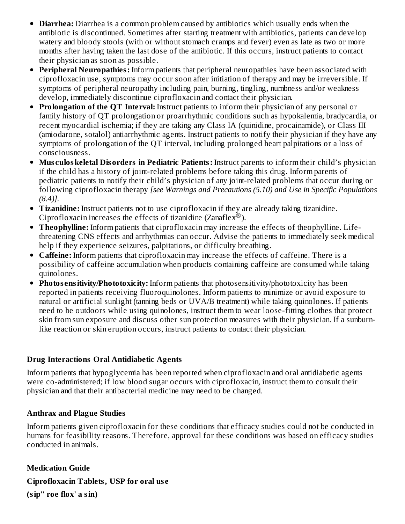- **Diarrhea:** Diarrhea is a common problem caused by antibiotics which usually ends when the antibiotic is discontinued. Sometimes after starting treatment with antibiotics, patients can develop watery and bloody stools (with or without stomach cramps and fever) even as late as two or more months after having taken the last dose of the antibiotic. If this occurs, instruct patients to contact their physician as soon as possible.
- **Peripheral Neuropathies:** Inform patients that peripheral neuropathies have been associated with ciprofloxacin use, symptoms may occur soon after initiation of therapy and may be irreversible. If symptoms of peripheral neuropathy including pain, burning, tingling, numbness and/or weakness develop, immediately discontinue ciprofloxacin and contact their physician.
- **Prolongation of the QT Interval:** Instruct patients to inform their physician of any personal or family history of QT prolongation or proarrhythmic conditions such as hypokalemia, bradycardia, or recent myocardial ischemia; if they are taking any Class IA (quinidine, procainamide), or Class III (amiodarone, sotalol) antiarrhythmic agents. Instruct patients to notify their physician if they have any symptoms of prolongation of the QT interval, including prolonged heart palpitations or a loss of consciousness.
- **Mus culoskeletal Disorders in Pediatric Patients:** Instruct parents to inform their child's physician if the child has a history of joint-related problems before taking this drug. Inform parents of pediatric patients to notify their child's physician of any joint-related problems that occur during or following ciprofloxacin therapy *[see Warnings and Precautions (5.10) and Use in Specific Populations (8.4)].*
- **Tizanidine:** Instruct patients not to use ciprofloxacin if they are already taking tizanidine. Ciprofloxacin increases the effects of tizanidine (Zanaflex<sup>®</sup>).
- **Theophylline:** Inform patients that ciprofloxacin may increase the effects of theophylline. Lifethreatening CNS effects and arrhythmias can occur. Advise the patients to immediately seek medical help if they experience seizures, palpitations, or difficulty breathing.
- **Caffeine:** Inform patients that ciprofloxacin may increase the effects of caffeine. There is a possibility of caffeine accumulation when products containing caffeine are consumed while taking quinolones.
- **Photos ensitivity/Phototoxicity:** Inform patients that photosensitivity/phototoxicity has been reported in patients receiving fluoroquinolones. Inform patients to minimize or avoid exposure to natural or artificial sunlight (tanning beds or UVA/B treatment) while taking quinolones. If patients need to be outdoors while using quinolones, instruct them to wear loose-fitting clothes that protect skin from sun exposure and discuss other sun protection measures with their physician. If a sunburnlike reaction or skin eruption occurs, instruct patients to contact their physician.

### **Drug Interactions Oral Antidiabetic Agents**

Inform patients that hypoglycemia has been reported when ciprofloxacin and oral antidiabetic agents were co-administered; if low blood sugar occurs with ciprofloxacin, instruct them to consult their physician and that their antibacterial medicine may need to be changed.

### **Anthrax and Plague Studies**

Inform patients given ciprofloxacin for these conditions that efficacy studies could not be conducted in humans for feasibility reasons. Therefore, approval for these conditions was based on efficacy studies conducted in animals.

### **Medication Guide**

**Ciprofloxacin Tablets, USP for oral us e**

**(sip'' roe flox' a sin)**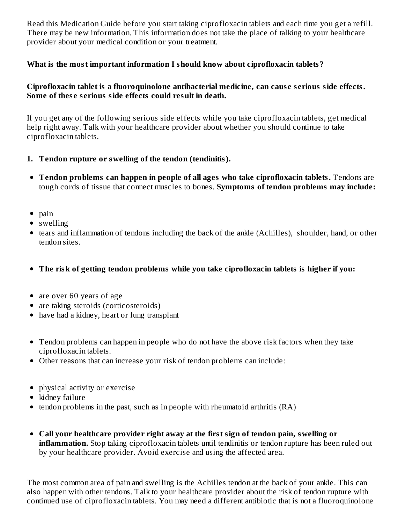Read this Medication Guide before you start taking ciprofloxacin tablets and each time you get a refill. There may be new information. This information does not take the place of talking to your healthcare provider about your medical condition or your treatment.

#### **What is the most important information I should know about ciprofloxacin tablets?**

#### **Ciprofloxacin tablet is a fluoroquinolone antibacterial medicine, can caus e s erious side effects. Some of thes e s erious side effects could result in death.**

If you get any of the following serious side effects while you take ciprofloxacin tablets, get medical help right away. Talk with your healthcare provider about whether you should continue to take ciprofloxacin tablets.

- **1. Tendon rupture or swelling of the tendon (tendinitis).**
- **Tendon problems can happen in people of all ages who take ciprofloxacin tablets.** Tendons are tough cords of tissue that connect muscles to bones. **Symptoms of tendon problems may include:**
- $\bullet$  pain
- swelling
- tears and inflammation of tendons including the back of the ankle (Achilles), shoulder, hand, or other tendon sites.
- **The risk of getting tendon problems while you take ciprofloxacin tablets is higher if you:**
- are over 60 years of age
- are taking steroids (corticosteroids)
- have had a kidney, heart or lung transplant
- Tendon problems can happen in people who do not have the above risk factors when they take ciprofloxacin tablets.
- Other reasons that can increase your risk of tendon problems can include:
- physical activity or exercise
- $\bullet$  kidney failure
- tendon problems in the past, such as in people with rheumatoid arthritis (RA)
- **Call your healthcare provider right away at the first sign of tendon pain, swelling or inflammation.** Stop taking ciprofloxacin tablets until tendinitis or tendon rupture has been ruled out by your healthcare provider. Avoid exercise and using the affected area.

The most common area of pain and swelling is the Achilles tendon at the back of your ankle. This can also happen with other tendons. Talk to your healthcare provider about the risk of tendon rupture with continued use of ciprofloxacin tablets. You may need a different antibiotic that is not a fluoroquinolone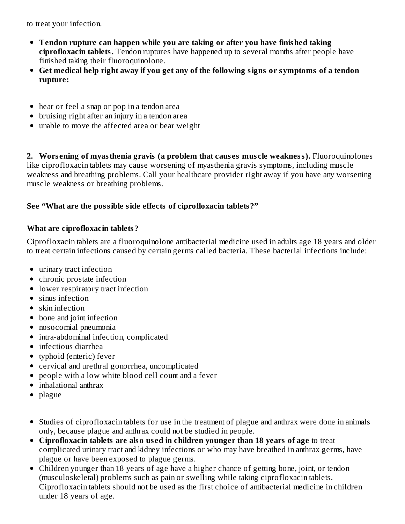to treat your infection.

- **Tendon rupture can happen while you are taking or after you have finished taking ciprofloxacin tablets.** Tendon ruptures have happened up to several months after people have finished taking their fluoroquinolone.
- **Get medical help right away if you get any of the following signs or symptoms of a tendon rupture:**
- hear or feel a snap or pop in a tendon area
- bruising right after an injury in a tendon area
- unable to move the affected area or bear weight

**2. Wors ening of myasthenia gravis (a problem that caus es mus cle weakness).** Fluoroquinolones like ciprofloxacin tablets may cause worsening of myasthenia gravis symptoms, including muscle weakness and breathing problems. Call your healthcare provider right away if you have any worsening muscle weakness or breathing problems.

#### **See "What are the possible side effects of ciprofloxacin tablets?"**

#### **What are ciprofloxacin tablets?**

Ciprofloxacin tablets are a fluoroquinolone antibacterial medicine used in adults age 18 years and older to treat certain infections caused by certain germs called bacteria. These bacterial infections include:

- urinary tract infection
- chronic prostate infection
- lower respiratory tract infection
- sinus infection
- skin infection
- bone and joint infection
- nosocomial pneumonia
- intra-abdominal infection, complicated
- infectious diarrhea
- typhoid (enteric) fever
- cervical and urethral gonorrhea, uncomplicated
- people with a low white blood cell count and a fever
- inhalational anthrax
- plague
- Studies of ciprofloxacin tablets for use in the treatment of plague and anthrax were done in animals only, because plague and anthrax could not be studied in people.
- **Ciprofloxacin tablets are also us ed in children younger than 18 years of age** to treat complicated urinary tract and kidney infections or who may have breathed in anthrax germs, have plague or have been exposed to plague germs.
- Children younger than 18 years of age have a higher chance of getting bone, joint, or tendon (musculoskeletal) problems such as pain or swelling while taking ciprofloxacin tablets. Ciprofloxacin tablets should not be used as the first choice of antibacterial medicine in children under 18 years of age.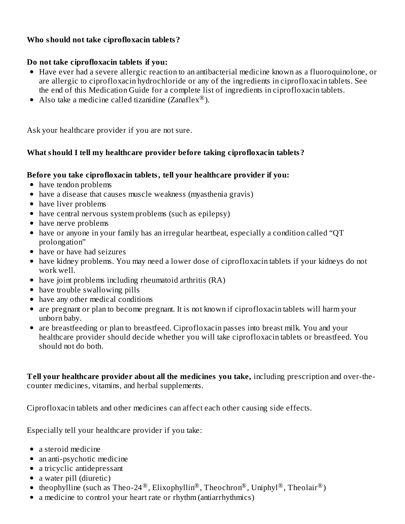#### **Who should not take ciprofloxacin tablets?**

#### **Do not take ciprofloxacin tablets if you:**

- Have ever had a severe allergic reaction to an antibacterial medicine known as a fluoroquinolone, or are allergic to ciprofloxacin hydrochloride or any of the ingredients in ciprofloxacin tablets. See the end of this Medication Guide for a complete list of ingredients in ciprofloxacin tablets.
- Also take a medicine called tizanidine (Zanaflex $^{\circledR}$ ).

Ask your healthcare provider if you are not sure.

#### **What should I tell my healthcare provider before taking ciprofloxacin tablets?**

#### **Before you take ciprofloxacin tablets, tell your healthcare provider if you:**

- have tendon problems
- have a disease that causes muscle weakness (myasthenia gravis)
- have liver problems
- have central nervous system problems (such as epilepsy)
- have nerve problems
- have or anyone in your family has an irregular heartbeat, especially a condition called "QT prolongation"
- have or have had seizures
- have kidney problems. You may need a lower dose of ciprofloxacin tablets if your kidneys do not work well.
- have joint problems including rheumatoid arthritis (RA)
- have trouble swallowing pills
- have any other medical conditions
- are pregnant or plan to become pregnant. It is not known if ciprofloxacin tablets will harm your unborn baby.
- are breastfeeding or plan to breastfeed. Ciprofloxacin passes into breast milk. You and your healthcare provider should decide whether you will take ciprofloxacin tablets or breastfeed. You should not do both.

**Tell your healthcare provider about all the medicines you take,** including prescription and over-thecounter medicines, vitamins, and herbal supplements.

Ciprofloxacin tablets and other medicines can affect each other causing side effects.

Especially tell your healthcare provider if you take:

- a steroid medicine
- an anti-psychotic medicine
- a tricyclic antidepressant
- a water pill (diuretic)
- theophylline (such as Theo-24®, Elixophyllin®, Theochron®, Uniphyl®, Theolair®)
- a medicine to control your heart rate or rhythm (antiarrhythmics)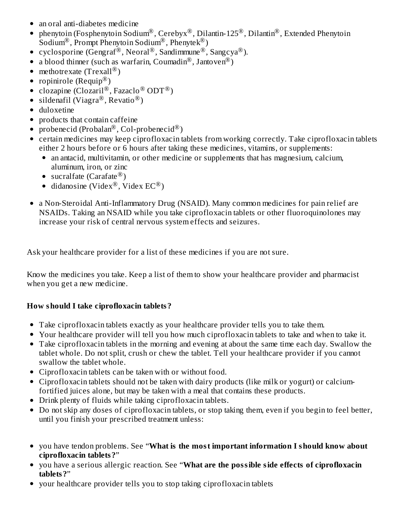- an oral anti-diabetes medicine
- phenytoin (Fosphenytoin Sodium $^\circledR$ , Cerebyx $^\circledR$ , Dilantin-125 $^\circledR$ , Dilantin $^\circledR$ , Extended Phenytoin  $\bullet$ Sodium<sup>®</sup>, Prompt Phenytoin Sodium<sup>®</sup>, Phenytek<sup>®</sup>)
- cyclosporine (Gengraf®, Neoral®, Sandimmune®, Sangcya®).
- a blood thinner (such as warfarin, Coumadin $^{\circledR}$ , Jantoven $^{\circledR})$
- methotrexate (Trexall<sup>®</sup>)
- ropinirole (Requip $^{\circledR}$ )
- clozapine (Clozaril $^{\circledR}$ , Fazaclo $^{\circledR}$  ODT $^{\circledR}$ )
- sildenafil (Viagra $^\circledR$ , Revatio $^\circledR$ )
- duloxetine
- products that contain caffeine
- probenecid (Probalan $^\circledR$ , Col-probenecid $^\circledR$ )
- certain medicines may keep ciprofloxacin tablets from working correctly. Take ciprofloxacin tablets either 2 hours before or 6 hours after taking these medicines, vitamins, or supplements:
	- an antacid, multivitamin, or other medicine or supplements that has magnesium, calcium, aluminum, iron, or zinc
	- sucralfate (Carafate $^\circledR)$
	- didanosine (Videx $^{\circledR}$ , Videx EC $^{\circledR}$ )
- a Non-Steroidal Anti-Inflammatory Drug (NSAID). Many common medicines for pain relief are NSAIDs. Taking an NSAID while you take ciprofloxacin tablets or other fluoroquinolones may increase your risk of central nervous system effects and seizures.

Ask your healthcare provider for a list of these medicines if you are not sure.

Know the medicines you take. Keep a list of them to show your healthcare provider and pharmacist when you get a new medicine.

### **How should I take ciprofloxacin tablets?**

- Take ciprofloxacin tablets exactly as your healthcare provider tells you to take them.
- Your healthcare provider will tell you how much ciprofloxacin tablets to take and when to take it.
- Take ciprofloxacin tablets in the morning and evening at about the same time each day. Swallow the tablet whole. Do not split, crush or chew the tablet. Tell your healthcare provider if you cannot swallow the tablet whole.
- Ciprofloxacin tablets can be taken with or without food.
- Ciprofloxacin tablets should not be taken with dairy products (like milk or yogurt) or calciumfortified juices alone, but may be taken with a meal that contains these products.
- Drink plenty of fluids while taking ciprofloxacin tablets.
- Do not skip any doses of ciprofloxacin tablets, or stop taking them, even if you begin to feel better, until you finish your prescribed treatment unless:
- you have tendon problems. See "**What is the most important information I should know about ciprofloxacin tablets?**"
- you have a serious allergic reaction. See "**What are the possible side effects of ciprofloxacin tablets?**"
- your healthcare provider tells you to stop taking ciprofloxacin tablets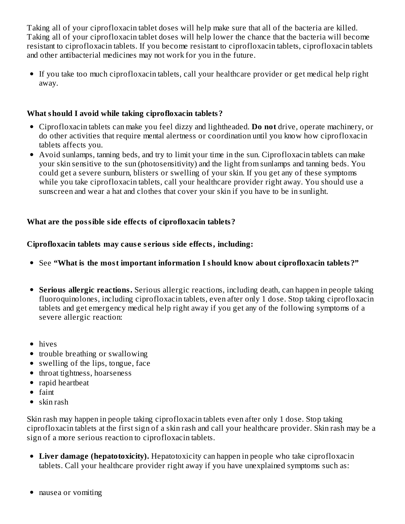Taking all of your ciprofloxacin tablet doses will help make sure that all of the bacteria are killed. Taking all of your ciprofloxacin tablet doses will help lower the chance that the bacteria will become resistant to ciprofloxacin tablets. If you become resistant to ciprofloxacin tablets, ciprofloxacin tablets and other antibacterial medicines may not work for you in the future.

If you take too much ciprofloxacin tablets, call your healthcare provider or get medical help right away.

#### **What should I avoid while taking ciprofloxacin tablets?**

- Ciprofloxacin tablets can make you feel dizzy and lightheaded. **Do not** drive, operate machinery, or do other activities that require mental alertness or coordination until you know how ciprofloxacin tablets affects you.
- Avoid sunlamps, tanning beds, and try to limit your time in the sun. Ciprofloxacin tablets can make your skin sensitive to the sun (photosensitivity) and the light from sunlamps and tanning beds. You could get a severe sunburn, blisters or swelling of your skin. If you get any of these symptoms while you take ciprofloxacin tablets, call your healthcare provider right away. You should use a sunscreen and wear a hat and clothes that cover your skin if you have to be in sunlight.

### **What are the possible side effects of ciprofloxacin tablets?**

### **Ciprofloxacin tablets may caus e s erious side effects, including:**

- See **"What is the most important information I should know about ciprofloxacin tablets?"**
- **Serious allergic reactions.** Serious allergic reactions, including death, can happen in people taking fluoroquinolones, including ciprofloxacin tablets, even after only 1 dose. Stop taking ciprofloxacin tablets and get emergency medical help right away if you get any of the following symptoms of a severe allergic reaction:
- hives
- trouble breathing or swallowing
- swelling of the lips, tongue, face
- throat tightness, hoarseness
- rapid heartbeat
- $\bullet$  faint
- $\bullet$  skin rash

Skin rash may happen in people taking ciprofloxacin tablets even after only 1 dose. Stop taking ciprofloxacin tablets at the first sign of a skin rash and call your healthcare provider. Skin rash may be a sign of a more serious reaction to ciprofloxacin tablets.

- **Liver damage (hepatotoxicity).** Hepatotoxicity can happen in people who take ciprofloxacin tablets. Call your healthcare provider right away if you have unexplained symptoms such as:
- nausea or vomiting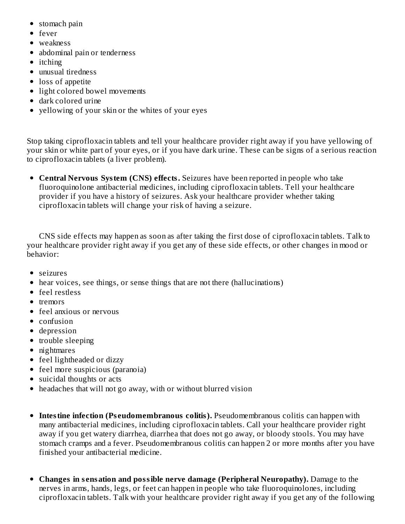- stomach pain
- fever
- weakness
- abdominal pain or tenderness
- itching
- unusual tiredness
- loss of appetite
- light colored bowel movements
- dark colored urine
- yellowing of your skin or the whites of your eyes

Stop taking ciprofloxacin tablets and tell your healthcare provider right away if you have yellowing of your skin or white part of your eyes, or if you have dark urine. These can be signs of a serious reaction to ciprofloxacin tablets (a liver problem).

**Central Nervous System (CNS) effects.** Seizures have been reported in people who take fluoroquinolone antibacterial medicines, including ciprofloxacin tablets. Tell your healthcare provider if you have a history of seizures. Ask your healthcare provider whether taking ciprofloxacin tablets will change your risk of having a seizure.

CNS side effects may happen as soon as after taking the first dose of ciprofloxacin tablets. Talk to your healthcare provider right away if you get any of these side effects, or other changes in mood or behavior:

- seizures
- hear voices, see things, or sense things that are not there (hallucinations)
- feel restless
- $\bullet$  tremors
- feel anxious or nervous
- $\bullet$  confusion
- depression
- trouble sleeping
- nightmares
- feel lightheaded or dizzy
- feel more suspicious (paranoia)
- suicidal thoughts or acts
- headaches that will not go away, with or without blurred vision
- **Intestine infection (Ps eudomembranous colitis).** Pseudomembranous colitis can happen with many antibacterial medicines, including ciprofloxacin tablets. Call your healthcare provider right away if you get watery diarrhea, diarrhea that does not go away, or bloody stools. You may have stomach cramps and a fever. Pseudomembranous colitis can happen 2 or more months after you have finished your antibacterial medicine.
- **Changes in s ensation and possible nerve damage (Peripheral Neuropathy).** Damage to the nerves in arms, hands, legs, or feet can happen in people who take fluoroquinolones, including ciprofloxacin tablets. Talk with your healthcare provider right away if you get any of the following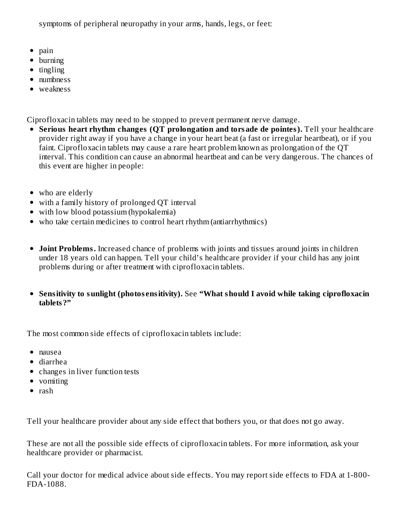symptoms of peripheral neuropathy in your arms, hands, legs, or feet:

- $\bullet$  pain
- burning
- $\bullet$  tingling
- numbness
- weakness

Ciprofloxacin tablets may need to be stopped to prevent permanent nerve damage.

- **Serious heart rhythm changes (QT prolongation and torsade de pointes).** Tell your healthcare provider right away if you have a change in your heart beat (a fast or irregular heartbeat), or if you faint. Ciprofloxacin tablets may cause a rare heart problem known as prolongation of the QT interval. This condition can cause an abnormal heartbeat and can be very dangerous. The chances of this event are higher in people:
- who are elderly
- with a family history of prolonged QT interval
- with low blood potassium (hypokalemia)
- who take certain medicines to control heart rhythm (antiarrhythmics)
- **Joint Problems.** Increased chance of problems with joints and tissues around joints in children under 18 years old can happen. Tell your child's healthcare provider if your child has any joint problems during or after treatment with ciprofloxacin tablets.
- **Sensitivity to sunlight (photos ensitivity).** See **"What should I avoid while taking ciprofloxacin tablets?"**

The most common side effects of ciprofloxacin tablets include:

- nausea
- diarrhea
- changes in liver function tests
- vomiting
- $\bullet$  rash

Tell your healthcare provider about any side effect that bothers you, or that does not go away.

These are not all the possible side effects of ciprofloxacin tablets. For more information, ask your healthcare provider or pharmacist.

Call your doctor for medical advice about side effects. You may report side effects to FDA at 1-800- FDA-1088.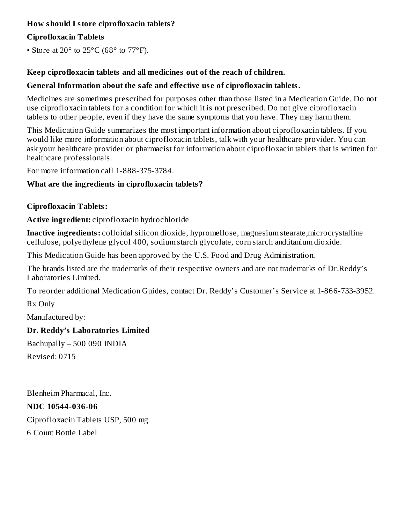### **How should I store ciprofloxacin tablets?**

### **Ciprofloxacin Tablets**

• Store at 20 $\degree$  to 25 $\degree$ C (68 $\degree$  to 77 $\degree$ F).

### **Keep ciprofloxacin tablets and all medicines out of the reach of children.**

### **General Information about the safe and effective us e of ciprofloxacin tablets.**

Medicines are sometimes prescribed for purposes other than those listed in a Medication Guide. Do not use ciprofloxacin tablets for a condition for which it is not prescribed. Do not give ciprofloxacin tablets to other people, even if they have the same symptoms that you have. They may harm them.

This Medication Guide summarizes the most important information about ciprofloxacin tablets. If you would like more information about ciprofloxacin tablets, talk with your healthcare provider. You can ask your healthcare provider or pharmacist for information about ciprofloxacin tablets that is written for healthcare professionals.

For more information call 1-888-375-3784.

### **What are the ingredients in ciprofloxacin tablets?**

#### **Ciprofloxacin Tablets:**

### **Active ingredient:** ciprofloxacin hydrochloride

**Inactive ingredients:** colloidal silicon dioxide, hypromellose, magnesium stearate,microcrystalline cellulose, polyethylene glycol 400, sodium starch glycolate, corn starch andtitanium dioxide.

This Medication Guide has been approved by the U.S. Food and Drug Administration.

The brands listed are the trademarks of their respective owners and are not trademarks of Dr.Reddy's Laboratories Limited.

To reorder additional Medication Guides, contact Dr. Reddy's Customer's Service at 1-866-733-3952.

Rx Only

Manufactured by:

### **Dr. Reddy's Laboratories Limited**

Bachupally – 500 090 INDIA Revised: 0715

Blenheim Pharmacal, Inc. **NDC 10544-036-06** Ciprofloxacin Tablets USP, 500 mg 6 Count Bottle Label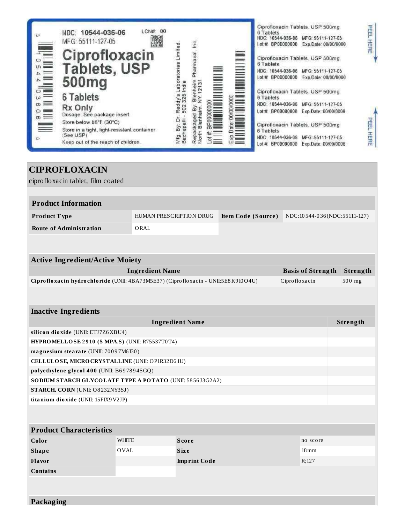| <b>CIPROFLOXACIN</b>                                                             |                                                                               |                        |  |               |                          |  |          |
|----------------------------------------------------------------------------------|-------------------------------------------------------------------------------|------------------------|--|---------------|--------------------------|--|----------|
| ciprofloxacin tablet, film coated                                                |                                                                               |                        |  |               |                          |  |          |
|                                                                                  |                                                                               |                        |  |               |                          |  |          |
| <b>Product Information</b>                                                       |                                                                               |                        |  |               |                          |  |          |
| Product Type                                                                     | HUMAN PRESCRIPTION DRUG<br>Item Code (Source)<br>NDC:10544-036(NDC:55111-127) |                        |  |               |                          |  |          |
| Route of Administration                                                          | ORAL                                                                          |                        |  |               |                          |  |          |
|                                                                                  |                                                                               |                        |  |               |                          |  |          |
|                                                                                  |                                                                               |                        |  |               |                          |  |          |
| <b>Active Ingredient/Active Moiety</b>                                           |                                                                               |                        |  |               |                          |  |          |
|                                                                                  | <b>Ingredient Name</b>                                                        |                        |  |               | <b>Basis of Strength</b> |  | Strength |
| Ciprofloxacin hydrochloride (UNII: 4BA73M5E37) (Ciprofloxacin - UNII:5E8K910O4U) |                                                                               |                        |  | Ciprofloxacin |                          |  | 500 mg   |
|                                                                                  |                                                                               |                        |  |               |                          |  |          |
|                                                                                  |                                                                               |                        |  |               |                          |  |          |
| <b>Inactive Ingredients</b>                                                      |                                                                               |                        |  |               |                          |  |          |
|                                                                                  |                                                                               | <b>Ingredient Name</b> |  |               |                          |  | Strength |
|                                                                                  | silicon dioxide (UNII: ETJ7Z6XBU4)                                            |                        |  |               |                          |  |          |
| HYPROMELLOSE 2910 (5 MPA.S) (UNII: R75537T0T4)                                   |                                                                               |                        |  |               |                          |  |          |
| magnesium stearate (UNII: 70097M6I30)                                            |                                                                               |                        |  |               |                          |  |          |
| CELLULOSE, MICRO CRYSTALLINE (UNII: OP1R32D61U)                                  |                                                                               |                        |  |               |                          |  |          |
| polyethylene glycol 400 (UNII: B697894SGQ)                                       |                                                                               |                        |  |               |                          |  |          |
| SODIUM STARCH GLYCOLATE TYPE A POTATO (UNII: 5856J3G2A2)                         |                                                                               |                        |  |               |                          |  |          |
| <b>STARCH, CORN (UNII: O8232NY3SJ)</b>                                           |                                                                               |                        |  |               |                          |  |          |
| titanium dioxide (UNII: 15FIX9V2JP)                                              |                                                                               |                        |  |               |                          |  |          |
|                                                                                  |                                                                               |                        |  |               |                          |  |          |
|                                                                                  |                                                                               |                        |  |               |                          |  |          |
| <b>Product Characteristics</b>                                                   |                                                                               |                        |  |               |                          |  |          |
| Color                                                                            | <b>WHITE</b><br><b>Score</b><br>no score                                      |                        |  |               |                          |  |          |
| <b>Shape</b>                                                                     | <b>OVAL</b><br><b>Size</b><br>$18 \,\mathrm{mm}$                              |                        |  |               |                          |  |          |
| Flavor                                                                           |                                                                               | <b>Imprint Code</b>    |  |               | R;127                    |  |          |
| <b>Contains</b>                                                                  |                                                                               |                        |  |               |                          |  |          |
|                                                                                  |                                                                               |                        |  |               |                          |  |          |
|                                                                                  |                                                                               |                        |  |               |                          |  |          |
| Packaging                                                                        |                                                                               |                        |  |               |                          |  |          |